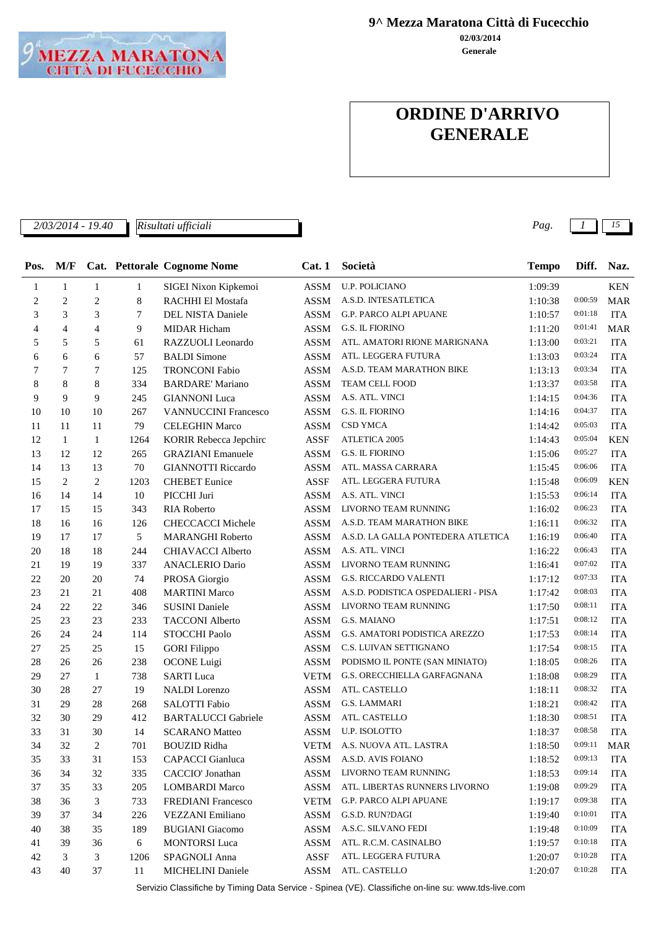

**02/03/2014 9^ Mezza Maratona Città di Fucecchio**

**Generale**

## **ORDINE D'ARRIVO GENERALE**

*2/03/2014 - 19.40 Pag. 1 15 Risultati ufficiali*

| Pos. | M/F            |                             |              | Cat. Pettorale Cognome Nome | Cat.1       | Società                             | <b>Tempo</b> | Diff.   | Naz.       |
|------|----------------|-----------------------------|--------------|-----------------------------|-------------|-------------------------------------|--------------|---------|------------|
| 1    | $\mathbf{1}$   | $\mathbf{1}$                | $\mathbf{1}$ | SIGEI Nixon Kipkemoi        | <b>ASSM</b> | U.P. POLICIANO                      | 1:09:39      |         | <b>KEN</b> |
| 2    | $\overline{c}$ | $\mathbf{2}$                | 8            | RACHHI El Mostafa           | <b>ASSM</b> | A.S.D. INTESATLETICA                | 1:10:38      | 0:00:59 | <b>MAR</b> |
| 3    | 3              | 3                           | 7            | DEL NISTA Daniele           | <b>ASSM</b> | G.P. PARCO ALPI APUANE              | 1:10:57      | 0:01:18 | <b>ITA</b> |
| 4    | 4              | 4                           | 9            | <b>MIDAR Hicham</b>         | <b>ASSM</b> | <b>G.S. IL FIORINO</b>              | 1:11:20      | 0:01:41 | <b>MAR</b> |
| 5    | 5              | 5                           | 61           | RAZZUOLI Leonardo           | <b>ASSM</b> | ATL. AMATORI RIONE MARIGNANA        | 1:13:00      | 0:03:21 | <b>ITA</b> |
| 6    | 6              | 6                           | 57           | <b>BALDI</b> Simone         | <b>ASSM</b> | ATL. LEGGERA FUTURA                 | 1:13:03      | 0:03:24 | <b>ITA</b> |
| 7    | 7              | 7                           | 125          | <b>TRONCONI Fabio</b>       | <b>ASSM</b> | A.S.D. TEAM MARATHON BIKE           | 1:13:13      | 0:03:34 | <b>ITA</b> |
| 8    | 8              | 8                           | 334          | <b>BARDARE' Mariano</b>     | <b>ASSM</b> | TEAM CELL FOOD                      | 1:13:37      | 0:03:58 | <b>ITA</b> |
| 9    | 9              | 9                           | 245          | <b>GIANNONI</b> Luca        | <b>ASSM</b> | A.S. ATL. VINCI                     | 1:14:15      | 0:04:36 | <b>ITA</b> |
| 10   | 10             | 10                          | 267          | <b>VANNUCCINI Francesco</b> | <b>ASSM</b> | <b>G.S. IL FIORINO</b>              | 1:14:16      | 0:04:37 | <b>ITA</b> |
| 11   | 11             | 11                          | 79           | <b>CELEGHIN Marco</b>       | <b>ASSM</b> | CSD YMCA                            | 1:14:42      | 0:05:03 | <b>ITA</b> |
| 12   | $\mathbf{1}$   | $\mathbf{1}$                | 1264         | KORIR Rebecca Jepchirc      | <b>ASSF</b> | <b>ATLETICA 2005</b>                | 1:14:43      | 0:05:04 | <b>KEN</b> |
| 13   | 12             | 12                          | 265          | <b>GRAZIANI</b> Emanuele    | <b>ASSM</b> | <b>G.S. IL FIORINO</b>              | 1:15:06      | 0:05:27 | <b>ITA</b> |
| 14   | 13             | 13                          | 70           | <b>GIANNOTTI Riccardo</b>   | <b>ASSM</b> | ATL. MASSA CARRARA                  | 1:15:45      | 0:06:06 | <b>ITA</b> |
| 15   | 2              | 2                           | 1203         | <b>CHEBET</b> Eunice        | <b>ASSF</b> | ATL. LEGGERA FUTURA                 | 1:15:48      | 0:06:09 | <b>KEN</b> |
| 16   | 14             | 14                          | 10           | PICCHI Juri                 | <b>ASSM</b> | A.S. ATL. VINCI                     | 1:15:53      | 0:06:14 | <b>ITA</b> |
| 17   | 15             | 15                          | 343          | <b>RIA Roberto</b>          | <b>ASSM</b> | LIVORNO TEAM RUNNING                | 1:16:02      | 0:06:23 | <b>ITA</b> |
| 18   | 16             | 16                          | 126          | <b>CHECCACCI Michele</b>    | <b>ASSM</b> | A.S.D. TEAM MARATHON BIKE           | 1:16:11      | 0:06:32 | <b>ITA</b> |
| 19   | 17             | 17                          | 5            | <b>MARANGHI Roberto</b>     | <b>ASSM</b> | A.S.D. LA GALLA PONTEDERA ATLETICA  | 1:16:19      | 0:06:40 | <b>ITA</b> |
| 20   | 18             | 18                          | 244          | <b>CHIAVACCI Alberto</b>    | <b>ASSM</b> | A.S. ATL. VINCI                     | 1:16:22      | 0:06:43 | <b>ITA</b> |
| 21   | 19             | 19                          | 337          | <b>ANACLERIO Dario</b>      | <b>ASSM</b> | LIVORNO TEAM RUNNING                | 1:16:41      | 0:07:02 | <b>ITA</b> |
| 22   | 20             | 20                          | 74           | PROSA Giorgio               | <b>ASSM</b> | <b>G.S. RICCARDO VALENTI</b>        | 1:17:12      | 0:07:33 | <b>ITA</b> |
| 23   | 21             | 21                          | 408          | <b>MARTINI Marco</b>        | <b>ASSM</b> | A.S.D. PODISTICA OSPEDALIERI - PISA | 1:17:42      | 0:08:03 | <b>ITA</b> |
| 24   | 22             | 22                          | 346          | <b>SUSINI Daniele</b>       | <b>ASSM</b> | LIVORNO TEAM RUNNING                | 1:17:50      | 0:08:11 | <b>ITA</b> |
| 25   | 23             | 23                          | 233          | <b>TACCONI</b> Alberto      | <b>ASSM</b> | G.S. MAIANO                         | 1:17:51      | 0:08:12 | <b>ITA</b> |
| 26   | 24             | 24                          | 114          | STOCCHI Paolo               | <b>ASSM</b> | G.S. AMATORI PODISTICA AREZZO       | 1:17:53      | 0:08:14 | <b>ITA</b> |
| 27   | 25             | 25                          | 15           | <b>GORI Filippo</b>         | <b>ASSM</b> | C.S. LUIVAN SETTIGNANO              | 1:17:54      | 0:08:15 | <b>ITA</b> |
| 28   | 26             | 26                          | 238          | <b>OCONE</b> Luigi          | <b>ASSM</b> | PODISMO IL PONTE (SAN MINIATO)      | 1:18:05      | 0:08:26 | <b>ITA</b> |
| 29   | 27             | $\mathbf{1}$                | 738          | <b>SARTI Luca</b>           | <b>VETM</b> | G.S. ORECCHIELLA GARFAGNANA         | 1:18:08      | 0:08:29 | <b>ITA</b> |
| 30   | 28             | 27                          | 19           | <b>NALDI</b> Lorenzo        | <b>ASSM</b> | ATL. CASTELLO                       | 1:18:11      | 0:08:32 | <b>ITA</b> |
| 31   | 29             | 28                          | 268          | SALOTTI Fabio               | <b>ASSM</b> | G.S. LAMMARI                        | 1:18:21      | 0:08:42 | <b>ITA</b> |
| 32   | 30             | 29                          | 412          | <b>BARTALUCCI Gabriele</b>  | <b>ASSM</b> | ATL. CASTELLO                       | 1:18:30      | 0:08:51 | <b>ITA</b> |
| 33   | 31             | 30                          | 14           | <b>SCARANO</b> Matteo       | <b>ASSM</b> | U.P. ISOLOTTO                       | 1:18:37      | 0:08:58 | <b>ITA</b> |
| 34   | 32             | $\overline{2}$              | 701          | <b>BOUZID Ridha</b>         | <b>VETM</b> | A.S. NUOVA ATL. LASTRA              | 1:18:50      | 0:09:11 | <b>MAR</b> |
| 35   | 33             | 31                          | 153          | CAPACCI Gianluca            | ASSM        | A.S.D. AVIS FOIANO                  | 1:18:52      | 0:09:13 | <b>ITA</b> |
| 36   | 34             | 32                          | 335          | CACCIO' Jonathan            | <b>ASSM</b> | LIVORNO TEAM RUNNING                | 1:18:53      | 0:09:14 | <b>ITA</b> |
| 37   | 35             | 33                          | 205          | <b>LOMBARDI</b> Marco       | <b>ASSM</b> | ATL. LIBERTAS RUNNERS LIVORNO       | 1:19:08      | 0:09:29 | <b>ITA</b> |
| 38   | 36             | $\ensuremath{\mathfrak{Z}}$ | 733          | <b>FREDIANI Francesco</b>   | <b>VETM</b> | G.P. PARCO ALPI APUANE              | 1:19:17      | 0:09:38 | <b>ITA</b> |
| 39   | 37             | 34                          | 226          | <b>VEZZANI</b> Emiliano     | <b>ASSM</b> | G.S.D. RUN?DAGI                     | 1:19:40      | 0:10:01 | <b>ITA</b> |
| 40   | 38             | 35                          | 189          | <b>BUGIANI</b> Giacomo      | <b>ASSM</b> | A.S.C. SILVANO FEDI                 | 1:19:48      | 0:10:09 | <b>ITA</b> |
| 41   | 39             | 36                          | 6            | <b>MONTORSI</b> Luca        | <b>ASSM</b> | ATL. R.C.M. CASINALBO               | 1:19:57      | 0:10:18 | <b>ITA</b> |
| 42   | 3              | 3                           | 1206         | SPAGNOLI Anna               | ASSF        | ATL. LEGGERA FUTURA                 | 1:20:07      | 0:10:28 | <b>ITA</b> |
| 43   | 40             | 37                          | 11           | MICHELINI Daniele           | ASSM        | ATL. CASTELLO                       | 1:20:07      | 0:10:28 | <b>ITA</b> |
|      |                |                             |              |                             |             |                                     |              |         |            |

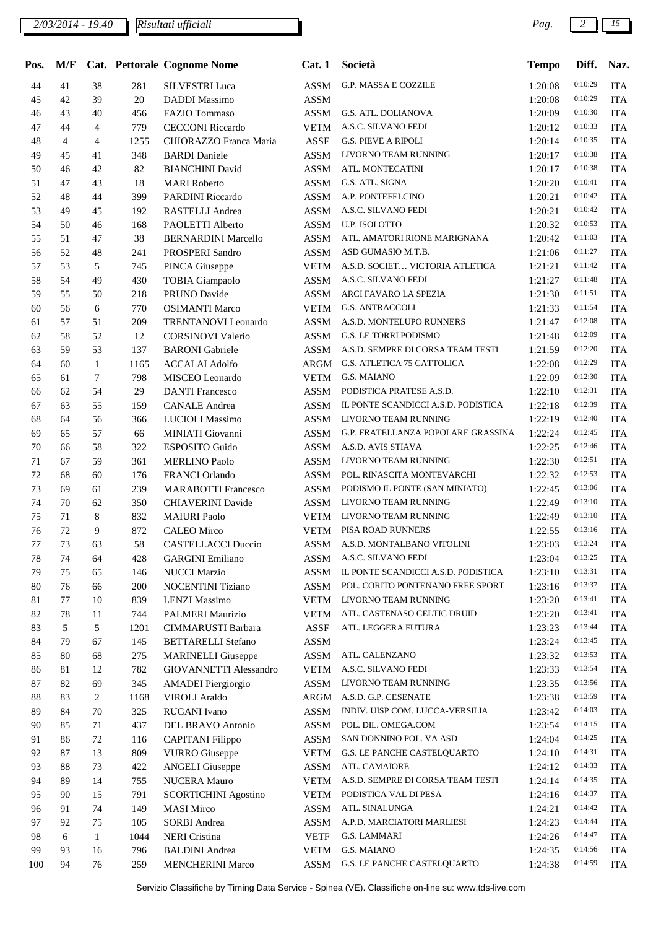| Pos.   | M/F            |                |      | Cat. Pettorale Cognome Nome | Cat.1       | Società                             | <b>Tempo</b> | Diff.   | Naz.       |
|--------|----------------|----------------|------|-----------------------------|-------------|-------------------------------------|--------------|---------|------------|
| 44     | 41             | 38             | 281  | <b>SILVESTRI</b> Luca       | <b>ASSM</b> | G.P. MASSA E COZZILE                | 1:20:08      | 0:10:29 | <b>ITA</b> |
| 45     | 42             | 39             | 20   | <b>DADDI</b> Massimo        | <b>ASSM</b> |                                     | 1:20:08      | 0:10:29 | <b>ITA</b> |
| 46     | 43             | 40             | 456  | <b>FAZIO</b> Tommaso        | <b>ASSM</b> | G.S. ATL. DOLIANOVA                 | 1:20:09      | 0:10:30 | <b>ITA</b> |
| 47     | 44             | $\overline{4}$ | 779  | <b>CECCONI Riccardo</b>     | <b>VETM</b> | A.S.C. SILVANO FEDI                 | 1:20:12      | 0:10:33 | <b>ITA</b> |
| 48     | $\overline{4}$ | 4              | 1255 | CHIORAZZO Franca Maria      | <b>ASSF</b> | <b>G.S. PIEVE A RIPOLI</b>          | 1:20:14      | 0:10:35 | <b>ITA</b> |
| 49     | 45             | 41             | 348  | <b>BARDI</b> Daniele        | <b>ASSM</b> | LIVORNO TEAM RUNNING                | 1:20:17      | 0:10:38 | <b>ITA</b> |
| 50     | 46             | 42             | 82   | <b>BIANCHINI</b> David      | <b>ASSM</b> | ATL. MONTECATINI                    | 1:20:17      | 0:10:38 | <b>ITA</b> |
| 51     | 47             | 43             | 18   | <b>MARI</b> Roberto         | ASSM        | G.S. ATL. SIGNA                     | 1:20:20      | 0:10:41 | <b>ITA</b> |
| 52     | 48             | 44             | 399  | PARDINI Riccardo            | <b>ASSM</b> | A.P. PONTEFELCINO                   | 1:20:21      | 0:10:42 | <b>ITA</b> |
| 53     | 49             | 45             | 192  | RASTELLI Andrea             | <b>ASSM</b> | A.S.C. SILVANO FEDI                 | 1:20:21      | 0:10:42 | <b>ITA</b> |
| 54     | 50             | 46             | 168  | PAOLETTI Alberto            | <b>ASSM</b> | U.P. ISOLOTTO                       | 1:20:32      | 0:10:53 | <b>ITA</b> |
| 55     | 51             | 47             | 38   | <b>BERNARDINI Marcello</b>  | <b>ASSM</b> | ATL. AMATORI RIONE MARIGNANA        | 1:20:42      | 0:11:03 | <b>ITA</b> |
| 56     | 52             | 48             | 241  | PROSPERI Sandro             | <b>ASSM</b> | ASD GUMASIO M.T.B.                  | 1:21:06      | 0:11:27 | <b>ITA</b> |
| 57     | 53             | 5              | 745  | PINCA Giuseppe              | <b>VETM</b> | A.S.D. SOCIET VICTORIA ATLETICA     | 1:21:21      | 0:11:42 | <b>ITA</b> |
| 58     | 54             | 49             | 430  | <b>TOBIA Giampaolo</b>      | <b>ASSM</b> | A.S.C. SILVANO FEDI                 | 1:21:27      | 0:11:48 | <b>ITA</b> |
| 59     | 55             | 50             | 218  | PRUNO Davide                | <b>ASSM</b> | ARCI FAVARO LA SPEZIA               | 1:21:30      | 0:11:51 | <b>ITA</b> |
| 60     | 56             | 6              | 770  | <b>OSIMANTI Marco</b>       | <b>VETM</b> | <b>G.S. ANTRACCOLI</b>              | 1:21:33      | 0:11:54 | <b>ITA</b> |
| 61     | 57             | 51             | 209  | <b>TRENTANOVI</b> Leonardo  | <b>ASSM</b> | A.S.D. MONTELUPO RUNNERS            | 1:21:47      | 0:12:08 | <b>ITA</b> |
| 62     | 58             | 52             | 12   | <b>CORSINOVI Valerio</b>    | <b>ASSM</b> | G.S. LE TORRI PODISMO               | 1:21:48      | 0:12:09 | <b>ITA</b> |
| 63     | 59             | 53             | 137  | <b>BARONI</b> Gabriele      | <b>ASSM</b> | A.S.D. SEMPRE DI CORSA TEAM TESTI   | 1:21:59      | 0:12:20 | <b>ITA</b> |
| 64     | 60             | $\mathbf{1}$   | 1165 | <b>ACCALAI</b> Adolfo       | ARGM        | G.S. ATLETICA 75 CATTOLICA          | 1:22:08      | 0:12:29 | <b>ITA</b> |
| 65     | 61             | 7              | 798  | MISCEO Leonardo             | <b>VETM</b> | G.S. MAIANO                         | 1:22:09      | 0:12:30 | <b>ITA</b> |
| 66     | 62             | 54             | 29   | <b>DANTI Francesco</b>      | <b>ASSM</b> | PODISTICA PRATESE A.S.D.            | 1:22:10      | 0:12:31 | <b>ITA</b> |
| 67     | 63             | 55             | 159  | <b>CANALE</b> Andrea        | <b>ASSM</b> | IL PONTE SCANDICCI A.S.D. PODISTICA | 1:22:18      | 0:12:39 | <b>ITA</b> |
| 68     | 64             | 56             | 366  | <b>LUCIOLI</b> Massimo      | <b>ASSM</b> | LIVORNO TEAM RUNNING                | 1:22:19      | 0:12:40 | <b>ITA</b> |
| 69     | 65             | 57             | 66   | MINIATI Giovanni            | <b>ASSM</b> | G.P. FRATELLANZA POPOLARE GRASSINA  | 1:22:24      | 0:12:45 | <b>ITA</b> |
| 70     | 66             | 58             | 322  | <b>ESPOSITO Guido</b>       | ASSM        | A.S.D. AVIS STIAVA                  | 1:22:25      | 0:12:46 | <b>ITA</b> |
| 71     | 67             | 59             | 361  | <b>MERLINO Paolo</b>        | ASSM        | LIVORNO TEAM RUNNING                | 1:22:30      | 0:12:51 | <b>ITA</b> |
| $72\,$ | 68             | 60             | 176  | <b>FRANCI Orlando</b>       | <b>ASSM</b> | POL. RINASCITA MONTEVARCHI          | 1:22:32      | 0:12:53 | <b>ITA</b> |
| 73     | 69             | 61             | 239  | <b>MARABOTTI Francesco</b>  | ASSM        | PODISMO IL PONTE (SAN MINIATO)      | 1:22:45      | 0:13:06 | <b>ITA</b> |
| 74     | 70             | 62             | 350  | <b>CHIAVERINI Davide</b>    | <b>ASSM</b> | LIVORNO TEAM RUNNING                | 1:22:49      | 0:13:10 | <b>ITA</b> |
| 75     | 71             | 8              | 832  | <b>MAIURI</b> Paolo         | <b>VETM</b> | LIVORNO TEAM RUNNING                | 1:22:49      | 0:13:10 | <b>ITA</b> |
| 76     | 72             | 9              | 872  | <b>CALEO</b> Mirco          | <b>VETM</b> | PISA ROAD RUNNERS                   | 1:22:55      | 0:13:16 | <b>ITA</b> |
| 77     | 73             | 63             | 58   | <b>CASTELLACCI Duccio</b>   | ASSM        | A.S.D. MONTALBANO VITOLINI          | 1:23:03      | 0:13:24 | <b>ITA</b> |
| 78     | 74             | 64             | 428  | <b>GARGINI</b> Emiliano     | ASSM        | A.S.C. SILVANO FEDI                 | 1:23:04      | 0:13:25 | <b>ITA</b> |
| 79     | 75             | 65             | 146  | <b>NUCCI Marzio</b>         | <b>ASSM</b> | IL PONTE SCANDICCI A.S.D. PODISTICA | 1:23:10      | 0:13:31 | <b>ITA</b> |
| 80     | 76             | 66             | 200  | NOCENTINI Tiziano           | ASSM        | POL. CORITO PONTENANO FREE SPORT    | 1:23:16      | 0:13:37 | <b>ITA</b> |
| 81     | 77             | 10             | 839  | <b>LENZI Massimo</b>        | <b>VETM</b> | LIVORNO TEAM RUNNING                | 1:23:20      | 0:13:41 | <b>ITA</b> |
| 82     | 78             | 11             | 744  | PALMERI Maurizio            | <b>VETM</b> | ATL. CASTENASO CELTIC DRUID         | 1:23:20      | 0:13:41 | <b>ITA</b> |
| 83     | 5              | 5              | 1201 | CIMMARUSTI Barbara          | ASSF        | ATL. LEGGERA FUTURA                 | 1:23:23      | 0:13:44 | <b>ITA</b> |
| 84     | 79             | 67             | 145  | <b>BETTARELLI Stefano</b>   | <b>ASSM</b> |                                     | 1:23:24      | 0:13:45 | <b>ITA</b> |
| 85     | 80             | 68             | 275  | <b>MARINELLI Giuseppe</b>   | <b>ASSM</b> | ATL. CALENZANO                      | 1:23:32      | 0:13:53 | <b>ITA</b> |
| 86     | 81             | 12             | 782  | GIOVANNETTI Alessandro      | <b>VETM</b> | A.S.C. SILVANO FEDI                 | 1:23:33      | 0:13:54 | <b>ITA</b> |
| 87     | 82             | 69             | 345  | <b>AMADEI</b> Piergiorgio   | <b>ASSM</b> | LIVORNO TEAM RUNNING                | 1:23:35      | 0:13:56 | <b>ITA</b> |
| 88     | 83             | 2              | 1168 | <b>VIROLI</b> Araldo        | ARGM        | A.S.D. G.P. CESENATE                | 1:23:38      | 0:13:59 | <b>ITA</b> |
| 89     | 84             | 70             | 325  | <b>RUGANI</b> Ivano         | ASSM        | INDIV. UISP COM. LUCCA-VERSILIA     | 1:23:42      | 0:14:03 | <b>ITA</b> |
| 90     | 85             | 71             | 437  | DEL BRAVO Antonio           | ASSM        | POL. DIL. OMEGA.COM                 | 1:23:54      | 0:14:15 | <b>ITA</b> |
| 91     | 86             | 72             | 116  | <b>CAPITANI</b> Filippo     | ASSM        | SAN DONNINO POL. VA ASD             | 1:24:04      | 0:14:25 | <b>ITA</b> |
| 92     | 87             | 13             | 809  | <b>VURRO</b> Giuseppe       | <b>VETM</b> | G.S. LE PANCHE CASTELQUARTO         | 1:24:10      | 0:14:31 | <b>ITA</b> |
| 93     | 88             | 73             | 422  | <b>ANGELI</b> Giuseppe      | ASSM        | ATL. CAMAIORE                       | 1:24:12      | 0:14:33 | <b>ITA</b> |
| 94     | 89             | 14             | 755  | NUCERA Mauro                | <b>VETM</b> | A.S.D. SEMPRE DI CORSA TEAM TESTI   | 1:24:14      | 0:14:35 | <b>ITA</b> |
| 95     | 90             | 15             | 791  | <b>SCORTICHINI Agostino</b> | <b>VETM</b> | PODISTICA VAL DI PESA               | 1:24:16      | 0:14:37 | <b>ITA</b> |
| 96     | 91             | 74             | 149  | <b>MASI Mirco</b>           | <b>ASSM</b> | ATL. SINALUNGA                      | 1:24:21      | 0:14:42 | <b>ITA</b> |
| 97     | 92             | 75             | 105  | <b>SORBI</b> Andrea         | <b>ASSM</b> | A.P.D. MARCIATORI MARLIESI          | 1:24:23      | 0:14:44 | <b>ITA</b> |
| 98     | 6              | 1              | 1044 | <b>NERI</b> Cristina        | <b>VETF</b> | G.S. LAMMARI                        | 1:24:26      | 0:14:47 | <b>ITA</b> |
| 99     | 93             | 16             | 796  | <b>BALDINI</b> Andrea       | <b>VETM</b> | G.S. MAIANO                         | 1:24:35      | 0:14:56 | <b>ITA</b> |
| 100    | 94             | 76             | 259  | <b>MENCHERINI Marco</b>     | ASSM        | G.S. LE PANCHE CASTELQUARTO         | 1:24:38      | 0:14:59 | <b>ITA</b> |
|        |                |                |      |                             |             |                                     |              |         |            |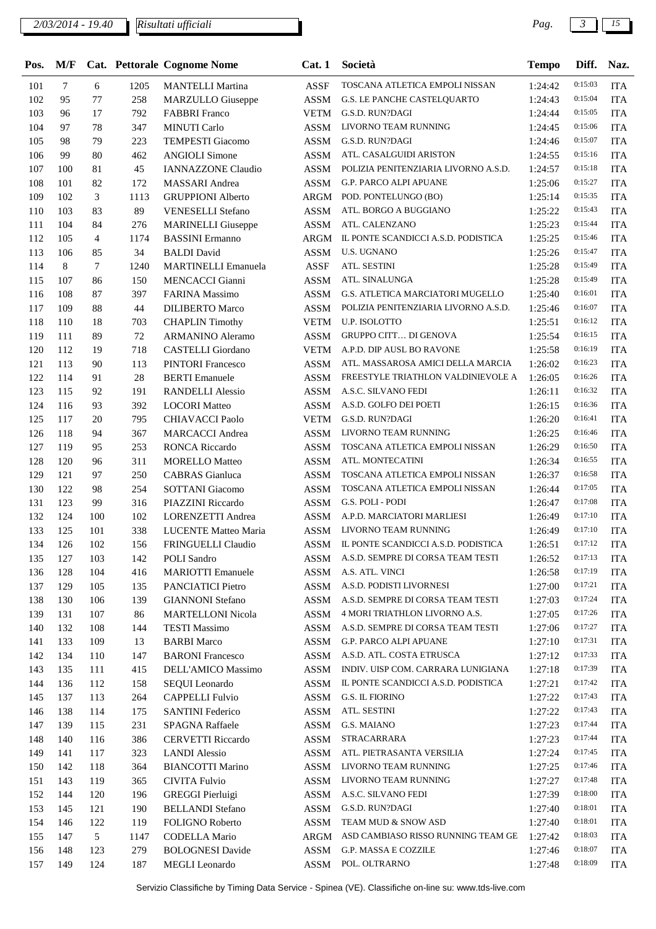| Pos. | M/F |                |      | Cat. Pettorale Cognome Nome | Cat.1       | Società                              | <b>Tempo</b> | Diff.   | Naz.       |
|------|-----|----------------|------|-----------------------------|-------------|--------------------------------------|--------------|---------|------------|
| 101  | 7   | 6              | 1205 | <b>MANTELLI Martina</b>     | <b>ASSF</b> | TOSCANA ATLETICA EMPOLI NISSAN       | 1:24:42      | 0:15:03 | <b>ITA</b> |
| 102  | 95  | 77             | 258  | <b>MARZULLO</b> Giuseppe    | <b>ASSM</b> | G.S. LE PANCHE CASTELQUARTO          | 1:24:43      | 0:15:04 | <b>ITA</b> |
| 103  | 96  | 17             | 792  | <b>FABBRI</b> Franco        | <b>VETM</b> | G.S.D. RUN?DAGI                      | 1:24:44      | 0:15:05 | <b>ITA</b> |
| 104  | 97  | 78             | 347  | <b>MINUTI Carlo</b>         | <b>ASSM</b> | LIVORNO TEAM RUNNING                 | 1:24:45      | 0:15:06 | <b>ITA</b> |
| 105  | 98  | 79             | 223  | <b>TEMPESTI Giacomo</b>     | <b>ASSM</b> | G.S.D. RUN?DAGI                      | 1:24:46      | 0:15:07 | <b>ITA</b> |
| 106  | 99  | 80             | 462  | <b>ANGIOLI Simone</b>       | <b>ASSM</b> | ATL. CASALGUIDI ARISTON              | 1:24:55      | 0:15:16 | <b>ITA</b> |
| 107  | 100 | 81             | 45   | <b>IANNAZZONE Claudio</b>   | <b>ASSM</b> | POLIZIA PENITENZIARIA LIVORNO A.S.D. | 1:24:57      | 0:15:18 | <b>ITA</b> |
| 108  | 101 | 82             | 172  | <b>MASSARI</b> Andrea       | <b>ASSM</b> | G.P. PARCO ALPI APUANE               | 1:25:06      | 0:15:27 | <b>ITA</b> |
| 109  | 102 | 3              | 1113 | <b>GRUPPIONI</b> Alberto    | ARGM        | POD. PONTELUNGO (BO)                 | 1:25:14      | 0:15:35 | <b>ITA</b> |
| 110  | 103 | 83             | 89   | VENESELLI Stefano           | <b>ASSM</b> | ATL. BORGO A BUGGIANO                | 1:25:22      | 0:15:43 | <b>ITA</b> |
| 111  | 104 | 84             | 276  | <b>MARINELLI</b> Giuseppe   | <b>ASSM</b> | ATL. CALENZANO                       | 1:25:23      | 0:15:44 | <b>ITA</b> |
| 112  | 105 | $\overline{4}$ | 1174 | <b>BASSINI</b> Ermanno      | ARGM        | IL PONTE SCANDICCI A.S.D. PODISTICA  | 1:25:25      | 0:15:46 | <b>ITA</b> |
| 113  | 106 | 85             | 34   | <b>BALDI</b> David          | <b>ASSM</b> | U.S. UGNANO                          | 1:25:26      | 0:15:47 | <b>ITA</b> |
| 114  | 8   | $\tau$         | 1240 | <b>MARTINELLI Emanuela</b>  | <b>ASSF</b> | ATL. SESTINI                         | 1:25:28      | 0:15:49 | <b>ITA</b> |
| 115  | 107 | 86             | 150  | <b>MENCACCI Gianni</b>      | <b>ASSM</b> | ATL. SINALUNGA                       | 1:25:28      | 0:15:49 | <b>ITA</b> |
| 116  | 108 | 87             | 397  | <b>FARINA Massimo</b>       | <b>ASSM</b> | G.S. ATLETICA MARCIATORI MUGELLO     | 1:25:40      | 0:16:01 | <b>ITA</b> |
| 117  | 109 | 88             | 44   | <b>DILIBERTO Marco</b>      | <b>ASSM</b> | POLIZIA PENITENZIARIA LIVORNO A.S.D. | 1:25:46      | 0:16:07 | <b>ITA</b> |
| 118  | 110 | 18             | 703  | <b>CHAPLIN Timothy</b>      | <b>VETM</b> | U.P. ISOLOTTO                        | 1:25:51      | 0:16:12 | <b>ITA</b> |
| 119  | 111 | 89             | 72   | <b>ARMANINO</b> Aleramo     | <b>ASSM</b> | <b>GRUPPO CITT DI GENOVA</b>         | 1:25:54      | 0:16:15 | <b>ITA</b> |
| 120  | 112 | 19             | 718  | <b>CASTELLI</b> Giordano    | <b>VETM</b> | A.P.D. DIP AUSL BO RAVONE            | 1:25:58      | 0:16:19 | <b>ITA</b> |
| 121  | 113 | 90             | 113  | <b>PINTORI Francesco</b>    | <b>ASSM</b> | ATL. MASSAROSA AMICI DELLA MARCIA    | 1:26:02      | 0:16:23 | <b>ITA</b> |
| 122  | 114 | 91             | 28   | <b>BERTI</b> Emanuele       | <b>ASSM</b> | FREESTYLE TRIATHLON VALDINIEVOLE A   | 1:26:05      | 0:16:26 | <b>ITA</b> |
| 123  | 115 | 92             | 191  | <b>RANDELLI Alessio</b>     | <b>ASSM</b> | A.S.C. SILVANO FEDI                  | 1:26:11      | 0:16:32 | <b>ITA</b> |
| 124  | 116 | 93             | 392  | <b>LOCORI</b> Matteo        | <b>ASSM</b> | A.S.D. GOLFO DEI POETI               | 1:26:15      | 0:16:36 | <b>ITA</b> |
| 125  | 117 | 20             | 795  | CHIAVACCI Paolo             | <b>VETM</b> | G.S.D. RUN?DAGI                      | 1:26:20      | 0:16:41 | <b>ITA</b> |
| 126  | 118 | 94             | 367  | <b>MARCACCI</b> Andrea      | <b>ASSM</b> | LIVORNO TEAM RUNNING                 | 1:26:25      | 0:16:46 | <b>ITA</b> |
| 127  | 119 | 95             | 253  | <b>RONCA Riccardo</b>       | <b>ASSM</b> | TOSCANA ATLETICA EMPOLI NISSAN       | 1:26:29      | 0:16:50 | <b>ITA</b> |
| 128  | 120 | 96             | 311  | <b>MORELLO Matteo</b>       | <b>ASSM</b> | ATL. MONTECATINI                     | 1:26:34      | 0:16:55 | <b>ITA</b> |
| 129  | 121 | 97             | 250  | <b>CABRAS</b> Gianluca      | <b>ASSM</b> | TOSCANA ATLETICA EMPOLI NISSAN       | 1:26:37      | 0:16:58 | <b>ITA</b> |
| 130  | 122 | 98             | 254  | <b>SOTTANI</b> Giacomo      | <b>ASSM</b> | TOSCANA ATLETICA EMPOLI NISSAN       | 1:26:44      | 0:17:05 | <b>ITA</b> |
| 131  | 123 | 99             | 316  | PIAZZINI Riccardo           | <b>ASSM</b> | G.S. POLI - PODI                     | 1:26:47      | 0:17:08 | <b>ITA</b> |
| 132  | 124 | 100            | 102  | LORENZETTI Andrea           | ASSM        | A.P.D. MARCIATORI MARLIESI           | 1:26:49      | 0:17:10 | <b>ITA</b> |
| 133  | 125 | 101            | 338  | LUCENTE Matteo Maria        | <b>ASSM</b> | LIVORNO TEAM RUNNING                 | 1:26:49      | 0:17:10 | <b>ITA</b> |
| 134  | 126 | 102            | 156  | FRINGUELLI Claudio          | ASSM        | IL PONTE SCANDICCI A.S.D. PODISTICA  | 1:26:51      | 0:17:12 | <b>ITA</b> |
| 135  | 127 | 103            | 142  | POLI Sandro                 | <b>ASSM</b> | A.S.D. SEMPRE DI CORSA TEAM TESTI    | 1:26:52      | 0:17:13 | <b>ITA</b> |
| 136  | 128 | 104            | 416  | <b>MARIOTTI</b> Emanuele    | <b>ASSM</b> | A.S. ATL. VINCI                      | 1:26:58      | 0:17:19 | <b>ITA</b> |
| 137  | 129 | 105            | 135  | PANCIATICI Pietro           | <b>ASSM</b> | A.S.D. PODISTI LIVORNESI             | 1:27:00      | 0:17:21 | <b>ITA</b> |
| 138  | 130 | 106            | 139  | <b>GIANNONI</b> Stefano     | ASSM        | A.S.D. SEMPRE DI CORSA TEAM TESTI    | 1:27:03      | 0:17:24 | <b>ITA</b> |
| 139  | 131 | 107            | 86   | <b>MARTELLONI Nicola</b>    | ASSM        | 4 MORI TRIATHLON LIVORNO A.S.        | 1:27:05      | 0:17:26 | <b>ITA</b> |
| 140  | 132 | 108            | 144  | <b>TESTI Massimo</b>        | <b>ASSM</b> | A.S.D. SEMPRE DI CORSA TEAM TESTI    | 1:27:06      | 0:17:27 | <b>ITA</b> |
| 141  | 133 | 109            | 13   | <b>BARBI</b> Marco          | ASSM        | G.P. PARCO ALPI APUANE               | 1:27:10      | 0:17:31 | <b>ITA</b> |
| 142  | 134 | 110            | 147  | <b>BARONI</b> Francesco     | ASSM        | A.S.D. ATL. COSTA ETRUSCA            | 1:27:12      | 0:17:33 | <b>ITA</b> |
| 143  | 135 | 111            | 415  | DELL'AMICO Massimo          | ASSM        | INDIV. UISP COM. CARRARA LUNIGIANA   | 1:27:18      | 0:17:39 | <b>ITA</b> |
| 144  | 136 | 112            | 158  | SEQUI Leonardo              | ASSM        | IL PONTE SCANDICCI A.S.D. PODISTICA  | 1:27:21      | 0:17:42 | <b>ITA</b> |
| 145  | 137 | 113            | 264  | <b>CAPPELLI Fulvio</b>      | <b>ASSM</b> | G.S. IL FIORINO                      | 1:27:22      | 0:17:43 | <b>ITA</b> |
| 146  | 138 | 114            | 175  | <b>SANTINI</b> Federico     | <b>ASSM</b> | ATL. SESTINI                         | 1:27:22      | 0:17:43 | <b>ITA</b> |
| 147  | 139 | 115            | 231  | SPAGNA Raffaele             | <b>ASSM</b> | G.S. MAIANO                          | 1:27:23      | 0:17:44 | <b>ITA</b> |
| 148  | 140 | 116            | 386  | <b>CERVETTI Riccardo</b>    | ASSM        | STRACARRARA                          | 1:27:23      | 0:17:44 | <b>ITA</b> |
| 149  | 141 | 117            | 323  | <b>LANDI</b> Alessio        | <b>ASSM</b> | ATL. PIETRASANTA VERSILIA            | 1:27:24      | 0:17:45 | <b>ITA</b> |
| 150  | 142 | 118            | 364  | <b>BIANCOTTI Marino</b>     | <b>ASSM</b> | LIVORNO TEAM RUNNING                 | 1:27:25      | 0:17:46 | <b>ITA</b> |
| 151  | 143 | 119            | 365  | <b>CIVITA Fulvio</b>        | <b>ASSM</b> | LIVORNO TEAM RUNNING                 | 1:27:27      | 0:17:48 | <b>ITA</b> |
| 152  | 144 | 120            | 196  | <b>GREGGI Pierluigi</b>     | ASSM        | A.S.C. SILVANO FEDI                  | 1:27:39      | 0:18:00 | <b>ITA</b> |
| 153  | 145 | 121            | 190  | <b>BELLANDI</b> Stefano     | ASSM        | G.S.D. RUN?DAGI                      | 1:27:40      | 0:18:01 | <b>ITA</b> |
| 154  | 146 | 122            | 119  | FOLIGNO Roberto             | ASSM        | TEAM MUD & SNOW ASD                  | 1:27:40      | 0:18:01 | <b>ITA</b> |
| 155  | 147 | 5              | 1147 | <b>CODELLA Mario</b>        | ARGM        | ASD CAMBIASO RISSO RUNNING TEAM GE   | 1:27:42      | 0:18:03 | <b>ITA</b> |
| 156  | 148 | 123            | 279  | <b>BOLOGNESI Davide</b>     | <b>ASSM</b> | G.P. MASSA E COZZILE                 | 1:27:46      | 0:18:07 | <b>ITA</b> |
| 157  | 149 | 124            | 187  | MEGLI Leonardo              | ASSM        | POL. OLTRARNO                        | 1:27:48      | 0:18:09 | <b>ITA</b> |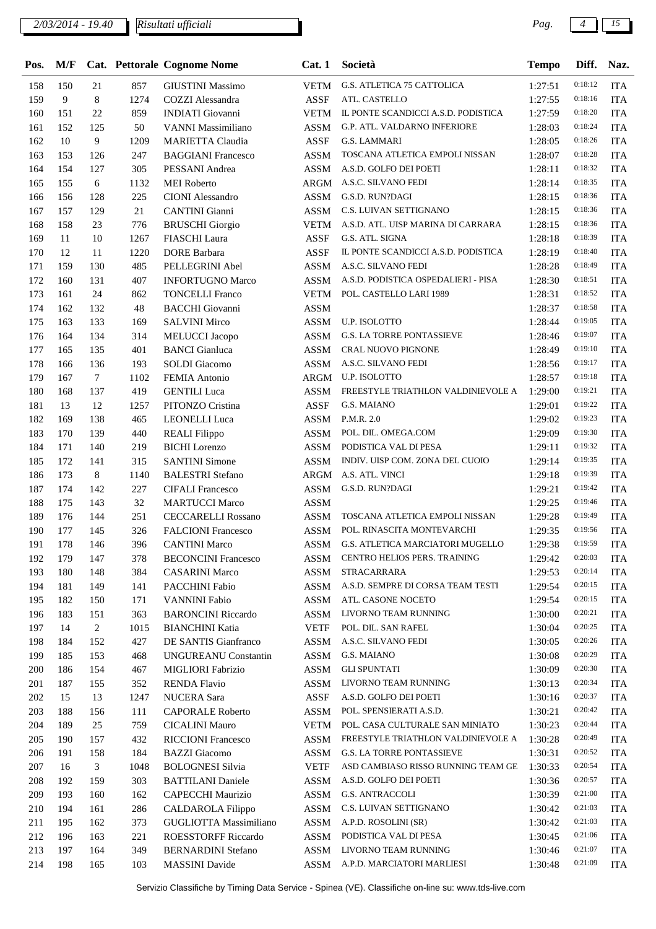| Pos. | M/F |                |      | Cat. Pettorale Cognome Nome | Cat.1           | Società                             | <b>Tempo</b> | Diff.   | Naz.       |
|------|-----|----------------|------|-----------------------------|-----------------|-------------------------------------|--------------|---------|------------|
| 158  | 150 | 21             | 857  | <b>GIUSTINI Massimo</b>     |                 | VETM G.S. ATLETICA 75 CATTOLICA     | 1:27:51      | 0:18:12 | <b>ITA</b> |
| 159  | 9   | $8\,$          | 1274 | <b>COZZI</b> Alessandra     | <b>ASSF</b>     | ATL. CASTELLO                       | 1:27:55      | 0:18:16 | <b>ITA</b> |
| 160  | 151 | 22             | 859  | <b>INDIATI</b> Giovanni     | VETM            | IL PONTE SCANDICCI A.S.D. PODISTICA | 1:27:59      | 0:18:20 | <b>ITA</b> |
| 161  | 152 | 125            | 50   | VANNI Massimiliano          | ASSM            | G.P. ATL. VALDARNO INFERIORE        | 1:28:03      | 0:18:24 | <b>ITA</b> |
| 162  | 10  | 9              | 1209 | <b>MARIETTA Claudia</b>     | <b>ASSF</b>     | <b>G.S. LAMMARI</b>                 | 1:28:05      | 0:18:26 | <b>ITA</b> |
| 163  | 153 | 126            | 247  | <b>BAGGIANI Francesco</b>   | <b>ASSM</b>     | TOSCANA ATLETICA EMPOLI NISSAN      | 1:28:07      | 0:18:28 | <b>ITA</b> |
| 164  | 154 | 127            | 305  | PESSANI Andrea              | ASSM            | A.S.D. GOLFO DEI POETI              | 1:28:11      | 0:18:32 | <b>ITA</b> |
| 165  | 155 | 6              | 1132 | <b>MEI</b> Roberto          | ARGM            | A.S.C. SILVANO FEDI                 | 1:28:14      | 0:18:35 | <b>ITA</b> |
| 166  | 156 | 128            | 225  | <b>CIONI</b> Alessandro     | ASSM            | G.S.D. RUN?DAGI                     | 1:28:15      | 0:18:36 | <b>ITA</b> |
| 167  | 157 | 129            | 21   | <b>CANTINI</b> Gianni       | ASSM            | C.S. LUIVAN SETTIGNANO              | 1:28:15      | 0:18:36 | <b>ITA</b> |
| 168  | 158 | 23             | 776  | <b>BRUSCHI</b> Giorgio      | VETM            | A.S.D. ATL. UISP MARINA DI CARRARA  | 1:28:15      | 0:18:36 | <b>ITA</b> |
| 169  | 11  | 10             | 1267 | FIASCHI Laura               | ASSF            | G.S. ATL. SIGNA                     | 1:28:18      | 0:18:39 | <b>ITA</b> |
| 170  | 12  | 11             | 1220 | <b>DORE</b> Barbara         | <b>ASSF</b>     | IL PONTE SCANDICCI A.S.D. PODISTICA | 1:28:19      | 0:18:40 | <b>ITA</b> |
| 171  | 159 | 130            | 485  | PELLEGRINI Abel             | <b>ASSM</b>     | A.S.C. SILVANO FEDI                 | 1:28:28      | 0:18:49 | <b>ITA</b> |
| 172  | 160 | 131            | 407  | <b>INFORTUGNO Marco</b>     | <b>ASSM</b>     | A.S.D. PODISTICA OSPEDALIERI - PISA | 1:28:30      | 0:18:51 | <b>ITA</b> |
| 173  | 161 | 24             | 862  | <b>TONCELLI Franco</b>      | <b>VETM</b>     | POL. CASTELLO LARI 1989             | 1:28:31      | 0:18:52 | <b>ITA</b> |
| 174  | 162 | 132            | 48   | <b>BACCHI</b> Giovanni      | <b>ASSM</b>     |                                     | 1:28:37      | 0:18:58 | <b>ITA</b> |
| 175  | 163 | 133            | 169  | <b>SALVINI Mirco</b>        | <b>ASSM</b>     | U.P. ISOLOTTO                       | 1:28:44      | 0:19:05 | <b>ITA</b> |
| 176  | 164 | 134            | 314  | MELUCCI Jacopo              | ASSM            | <b>G.S. LA TORRE PONTASSIEVE</b>    | 1:28:46      | 0:19:07 | <b>ITA</b> |
| 177  | 165 | 135            | 401  | <b>BANCI</b> Gianluca       | ASSM            | CRAL NUOVO PIGNONE                  | 1:28:49      | 0:19:10 | <b>ITA</b> |
| 178  | 166 | 136            | 193  | <b>SOLDI</b> Giacomo        | ASSM            | A.S.C. SILVANO FEDI                 | 1:28:56      | 0:19:17 | <b>ITA</b> |
| 179  | 167 | $\tau$         | 1102 | <b>FEMIA Antonio</b>        | ARGM            | U.P. ISOLOTTO                       | 1:28:57      | 0:19:18 | <b>ITA</b> |
| 180  | 168 | 137            | 419  | <b>GENTILI</b> Luca         | ASSM            | FREESTYLE TRIATHLON VALDINIEVOLE A  | 1:29:00      | 0:19:21 | <b>ITA</b> |
| 181  | 13  | 12             | 1257 | PITONZO Cristina            | <b>ASSF</b>     | G.S. MAIANO                         | 1:29:01      | 0:19:22 | <b>ITA</b> |
| 182  | 169 | 138            | 465  | <b>LEONELLI</b> Luca        | <b>ASSM</b>     | P.M.R. 2.0                          | 1:29:02      | 0:19:23 | <b>ITA</b> |
| 183  | 170 | 139            | 440  | <b>REALI Filippo</b>        | ASSM            | POL. DIL. OMEGA.COM                 | 1:29:09      | 0:19:30 | <b>ITA</b> |
| 184  | 171 | 140            | 219  | <b>BICHI</b> Lorenzo        | <b>ASSM</b>     | PODISTICA VAL DI PESA               | 1:29:11      | 0:19:32 | <b>ITA</b> |
| 185  | 172 | 141            | 315  | <b>SANTINI Simone</b>       | ASSM            | INDIV. UISP COM. ZONA DEL CUOIO     | 1:29:14      | 0:19:35 | <b>ITA</b> |
| 186  | 173 | 8              | 1140 | <b>BALESTRI</b> Stefano     | ARGM            | A.S. ATL. VINCI                     | 1:29:18      | 0:19:39 | <b>ITA</b> |
| 187  | 174 | 142            | 227  | <b>CIFALI</b> Francesco     | ASSM            | G.S.D. RUN?DAGI                     | 1:29:21      | 0:19:42 | <b>ITA</b> |
| 188  | 175 | 143            | 32   | <b>MARTUCCI Marco</b>       | $\mathbf{ASSM}$ |                                     | 1:29:25      | 0:19:46 | <b>ITA</b> |
| 189  | 176 | 144            | 251  | <b>CECCARELLI Rossano</b>   | ASSM            | TOSCANA ATLETICA EMPOLI NISSAN      | 1:29:28      | 0:19:49 | <b>ITA</b> |
| 190  | 177 | 145            | 326  | <b>FALCIONI Francesco</b>   | ASSM            | POL. RINASCITA MONTEVARCHI          | 1:29:35      | 0:19:56 | <b>ITA</b> |
| 191  | 178 | 146            | 396  | <b>CANTINI Marco</b>        | ASSM            | G.S. ATLETICA MARCIATORI MUGELLO    | 1:29:38      | 0:19:59 | <b>ITA</b> |
| 192  | 179 | 147            | 378  | <b>BECONCINI Francesco</b>  | <b>ASSM</b>     | CENTRO HELIOS PERS. TRAINING        | 1:29:42      | 0:20:03 | <b>ITA</b> |
| 193  | 180 | 148            | 384  | <b>CASARINI Marco</b>       | ASSM            | STRACARRARA                         | 1:29:53      | 0:20:14 | <b>ITA</b> |
| 194  | 181 | 149            | 141  | PACCHINI Fabio              | ASSM            | A.S.D. SEMPRE DI CORSA TEAM TESTI   | 1:29:54      | 0:20:15 | <b>ITA</b> |
| 195  | 182 | 150            | 171  | <b>VANNINI Fabio</b>        | ASSM            | ATL. CASONE NOCETO                  | 1:29:54      | 0:20:15 | <b>ITA</b> |
| 196  | 183 | 151            | 363  | <b>BARONCINI Riccardo</b>   | ASSM            | LIVORNO TEAM RUNNING                | 1:30:00      | 0:20:21 | <b>ITA</b> |
| 197  | 14  | 2              | 1015 | <b>BIANCHINI Katia</b>      | <b>VETF</b>     | POL. DIL. SAN RAFEL                 | 1:30:04      | 0:20:25 | <b>ITA</b> |
| 198  | 184 | 152            | 427  | DE SANTIS Gianfranco        | ASSM            | A.S.C. SILVANO FEDI                 | 1:30:05      | 0:20:26 | <b>ITA</b> |
| 199  | 185 | 153            | 468  | <b>UNGUREANU Constantin</b> | ASSM            | <b>G.S. MAIANO</b>                  | 1:30:08      | 0:20:29 | <b>ITA</b> |
| 200  | 186 | 154            | 467  | MIGLIORI Fabrizio           | ASSM            | <b>GLI SPUNTATI</b>                 | 1:30:09      | 0:20:30 | <b>ITA</b> |
| 201  | 187 | 155            | 352  | <b>RENDA Flavio</b>         | ASSM            | LIVORNO TEAM RUNNING                | 1:30:13      | 0:20:34 | <b>ITA</b> |
| 202  | 15  | 13             | 1247 | NUCERA Sara                 | ASSF            | A.S.D. GOLFO DEI POETI              | 1:30:16      | 0:20:37 | <b>ITA</b> |
| 203  | 188 | 156            | 111  | <b>CAPORALE Roberto</b>     | ASSM            | POL. SPENSIERATI A.S.D.             | 1:30:21      | 0:20:42 | <b>ITA</b> |
| 204  | 189 | 25             | 759  | <b>CICALINI Mauro</b>       | VETM            | POL. CASA CULTURALE SAN MINIATO     | 1:30:23      | 0:20:44 | <b>ITA</b> |
| 205  | 190 | 157            | 432  | <b>RICCIONI Francesco</b>   | ASSM            | FREESTYLE TRIATHLON VALDINIEVOLE A  | 1:30:28      | 0:20:49 | <b>ITA</b> |
| 206  | 191 | 158            | 184  | <b>BAZZI</b> Giacomo        | ASSM            | <b>G.S. LA TORRE PONTASSIEVE</b>    | 1:30:31      | 0:20:52 | <b>ITA</b> |
| 207  | 16  | $\mathfrak{Z}$ | 1048 | <b>BOLOGNESI Silvia</b>     | <b>VETF</b>     | ASD CAMBIASO RISSO RUNNING TEAM GE  | 1:30:33      | 0:20:54 | <b>ITA</b> |
| 208  | 192 | 159            | 303  | <b>BATTILANI</b> Daniele    | ASSM            | A.S.D. GOLFO DEI POETI              | 1:30:36      | 0:20:57 | <b>ITA</b> |
| 209  | 193 | 160            | 162  | CAPECCHI Maurizio           | ASSM            | <b>G.S. ANTRACCOLI</b>              | 1:30:39      | 0:21:00 | <b>ITA</b> |
| 210  | 194 | 161            | 286  | CALDAROLA Filippo           | ASSM            | C.S. LUIVAN SETTIGNANO              | 1:30:42      | 0:21:03 | <b>ITA</b> |
| 211  | 195 | 162            | 373  | GUGLIOTTA Massimiliano      | ASSM            | A.P.D. ROSOLINI (SR)                | 1:30:42      | 0:21:03 | <b>ITA</b> |
| 212  | 196 | 163            | 221  | <b>ROESSTORFF Riccardo</b>  | ASSM            | PODISTICA VAL DI PESA               | 1:30:45      | 0:21:06 | <b>ITA</b> |
| 213  | 197 | 164            | 349  | <b>BERNARDINI Stefano</b>   | ASSM            | LIVORNO TEAM RUNNING                | 1:30:46      | 0:21:07 | <b>ITA</b> |
| 214  | 198 | 165            | 103  | <b>MASSINI</b> Davide       | ASSM            | A.P.D. MARCIATORI MARLIESI          | 1:30:48      | 0:21:09 | <b>ITA</b> |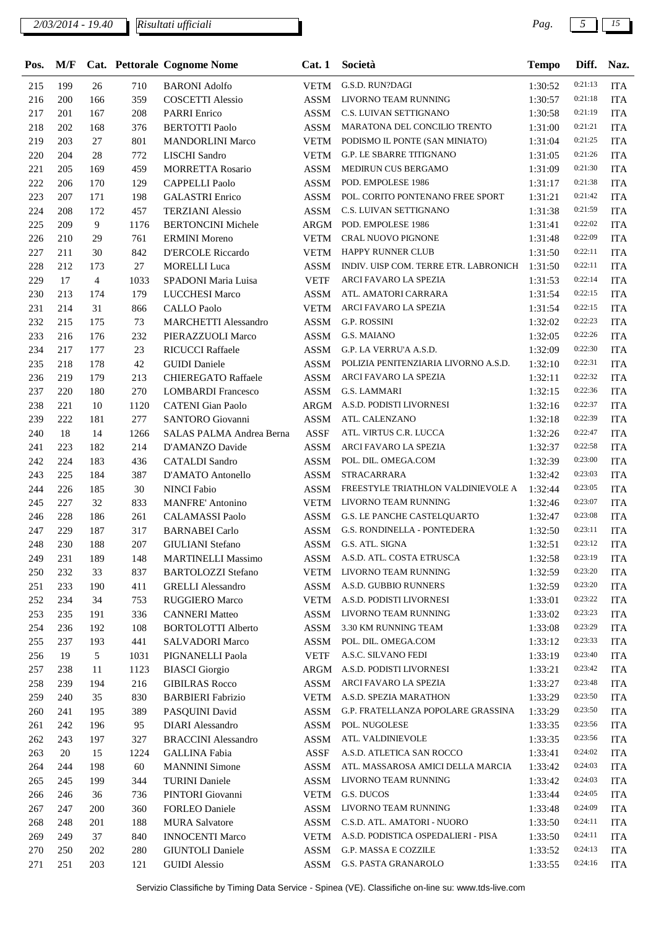| Pos. | M/F |                |      | Cat. Pettorale Cognome Nome | Cat. 1      | Società                               | <b>Tempo</b> | Diff.   | Naz.       |
|------|-----|----------------|------|-----------------------------|-------------|---------------------------------------|--------------|---------|------------|
| 215  | 199 | 26             | 710  | <b>BARONI</b> Adolfo        | VETM        | G.S.D. RUN?DAGI                       | 1:30:52      | 0:21:13 | <b>ITA</b> |
| 216  | 200 | 166            | 359  | <b>COSCETTI Alessio</b>     | <b>ASSM</b> | LIVORNO TEAM RUNNING                  | 1:30:57      | 0:21:18 | <b>ITA</b> |
| 217  | 201 | 167            | 208  | <b>PARRI</b> Enrico         | <b>ASSM</b> | C.S. LUIVAN SETTIGNANO                | 1:30:58      | 0:21:19 | <b>ITA</b> |
| 218  | 202 | 168            | 376  | <b>BERTOTTI Paolo</b>       | <b>ASSM</b> | MARATONA DEL CONCILIO TRENTO          | 1:31:00      | 0:21:21 | <b>ITA</b> |
| 219  | 203 | 27             | 801  | <b>MANDORLINI Marco</b>     | <b>VETM</b> | PODISMO IL PONTE (SAN MINIATO)        | 1:31:04      | 0:21:25 | <b>ITA</b> |
| 220  | 204 | 28             | 772  | <b>LISCHI</b> Sandro        | <b>VETM</b> | G.P. LE SBARRE TITIGNANO              | 1:31:05      | 0:21:26 | <b>ITA</b> |
| 221  | 205 | 169            | 459  | <b>MORRETTA Rosario</b>     | <b>ASSM</b> | MEDIRUN CUS BERGAMO                   | 1:31:09      | 0:21:30 | <b>ITA</b> |
| 222  | 206 | 170            | 129  | <b>CAPPELLI Paolo</b>       | <b>ASSM</b> | POD. EMPOLESE 1986                    | 1:31:17      | 0:21:38 | <b>ITA</b> |
| 223  | 207 | 171            | 198  | <b>GALASTRI</b> Enrico      | <b>ASSM</b> | POL. CORITO PONTENANO FREE SPORT      | 1:31:21      | 0:21:42 | <b>ITA</b> |
| 224  | 208 | 172            | 457  | <b>TERZIANI</b> Alessio     | <b>ASSM</b> | C.S. LUIVAN SETTIGNANO                | 1:31:38      | 0:21:59 | <b>ITA</b> |
| 225  | 209 | 9              | 1176 | <b>BERTONCINI Michele</b>   | ARGM        | POD. EMPOLESE 1986                    | 1:31:41      | 0:22:02 | <b>ITA</b> |
| 226  | 210 | 29             | 761  | <b>ERMINI</b> Moreno        | <b>VETM</b> | CRAL NUOVO PIGNONE                    | 1:31:48      | 0:22:09 | <b>ITA</b> |
| 227  | 211 | 30             | 842  | <b>D'ERCOLE Riccardo</b>    | <b>VETM</b> | HAPPY RUNNER CLUB                     | 1:31:50      | 0:22:11 | <b>ITA</b> |
| 228  | 212 | 173            | 27   | <b>MORELLI</b> Luca         | <b>ASSM</b> | INDIV. UISP COM. TERRE ETR. LABRONICH | 1:31:50      | 0:22:11 | <b>ITA</b> |
| 229  | 17  | $\overline{4}$ | 1033 | SPADONI Maria Luisa         | <b>VETF</b> | ARCI FAVARO LA SPEZIA                 | 1:31:53      | 0:22:14 | <b>ITA</b> |
| 230  | 213 | 174            | 179  | <b>LUCCHESI Marco</b>       | <b>ASSM</b> | ATL. AMATORI CARRARA                  | 1:31:54      | 0:22:15 | <b>ITA</b> |
| 231  | 214 | 31             | 866  | <b>CALLO Paolo</b>          | <b>VETM</b> | ARCI FAVARO LA SPEZIA                 | 1:31:54      | 0:22:15 | <b>ITA</b> |
| 232  | 215 | 175            | 73   | <b>MARCHETTI Alessandro</b> | <b>ASSM</b> | G.P. ROSSINI                          | 1:32:02      | 0:22:23 | <b>ITA</b> |
| 233  | 216 | 176            | 232  | PIERAZZUOLI Marco           | <b>ASSM</b> | G.S. MAIANO                           | 1:32:05      | 0:22:26 | <b>ITA</b> |
| 234  | 217 | 177            | 23   | RICUCCI Raffaele            | <b>ASSM</b> | G.P. LA VERRU'A A.S.D.                | 1:32:09      | 0:22:30 | <b>ITA</b> |
| 235  | 218 | 178            | 42   | <b>GUIDI</b> Daniele        | <b>ASSM</b> | POLIZIA PENITENZIARIA LIVORNO A.S.D.  | 1:32:10      | 0:22:31 | <b>ITA</b> |
| 236  | 219 | 179            | 213  | <b>CHIEREGATO Raffaele</b>  | <b>ASSM</b> | ARCI FAVARO LA SPEZIA                 | 1:32:11      | 0:22:32 | <b>ITA</b> |
| 237  | 220 | 180            | 270  | <b>LOMBARDI</b> Francesco   | <b>ASSM</b> | G.S. LAMMARI                          | 1:32:15      | 0:22:36 | <b>ITA</b> |
| 238  | 221 | 10             | 1120 | <b>CATENI</b> Gian Paolo    | ARGM        | A.S.D. PODISTI LIVORNESI              | 1:32:16      | 0:22:37 | <b>ITA</b> |
| 239  | 222 | 181            | 277  | SANTORO Giovanni            | <b>ASSM</b> | ATL. CALENZANO                        | 1:32:18      | 0:22:39 | <b>ITA</b> |
| 240  | 18  | 14             | 1266 | SALAS PALMA Andrea Berna    | <b>ASSF</b> | ATL. VIRTUS C.R. LUCCA                | 1:32:26      | 0:22:47 | <b>ITA</b> |
| 241  | 223 | 182            | 214  | D'AMANZO Davide             | <b>ASSM</b> | ARCI FAVARO LA SPEZIA                 | 1:32:37      | 0:22:58 | <b>ITA</b> |
| 242  | 224 | 183            | 436  | <b>CATALDI</b> Sandro       | <b>ASSM</b> | POL. DIL. OMEGA.COM                   | 1:32:39      | 0:23:00 | <b>ITA</b> |
| 243  | 225 | 184            | 387  | D'AMATO Antonello           | <b>ASSM</b> | STRACARRARA                           | 1:32:42      | 0:23:03 | <b>ITA</b> |
| 244  | 226 | 185            | 30   | <b>NINCI Fabio</b>          | <b>ASSM</b> | FREESTYLE TRIATHLON VALDINIEVOLE A    | 1:32:44      | 0:23:05 | <b>ITA</b> |
| 245  | 227 | 32             | 833  | <b>MANFRE' Antonino</b>     | <b>VETM</b> | LIVORNO TEAM RUNNING                  | 1:32:46      | 0:23:07 | <b>ITA</b> |
| 246  | 228 | 186            | 261  | <b>CALAMASSI Paolo</b>      | <b>ASSM</b> | G.S. LE PANCHE CASTELQUARTO           | 1:32:47      | 0:23:08 | <b>ITA</b> |
| 247  | 229 | 187            | 317  | <b>BARNABEI</b> Carlo       | <b>ASSM</b> | G.S. RONDINELLA - PONTEDERA           | 1:32:50      | 0:23:11 | <b>ITA</b> |
| 248  | 230 | 188            | 207  | <b>GIULIANI</b> Stefano     | <b>ASSM</b> | G.S. ATL. SIGNA                       | 1:32:51      | 0:23:12 | <b>ITA</b> |
| 249  | 231 | 189            | 148  | <b>MARTINELLI Massimo</b>   | <b>ASSM</b> | A.S.D. ATL. COSTA ETRUSCA             | 1:32:58      | 0:23:19 | <b>ITA</b> |
| 250  | 232 | 33             | 837  | <b>BARTOLOZZI Stefano</b>   | <b>VETM</b> | LIVORNO TEAM RUNNING                  | 1:32:59      | 0:23:20 | <b>ITA</b> |
| 251  | 233 | 190            | 411  | <b>GRELLI</b> Alessandro    | ASSM        | A.S.D. GUBBIO RUNNERS                 | 1:32:59      | 0:23:20 | <b>ITA</b> |
| 252  | 234 | 34             | 753  | RUGGIERO Marco              | <b>VETM</b> | A.S.D. PODISTI LIVORNESI              | 1:33:01      | 0:23:22 | <b>ITA</b> |
| 253  | 235 | 191            | 336  | <b>CANNERI Matteo</b>       | ASSM        | LIVORNO TEAM RUNNING                  | 1:33:02      | 0:23:23 | <b>ITA</b> |
| 254  | 236 | 192            | 108  | <b>BORTOLOTTI Alberto</b>   | <b>ASSM</b> | 3.30 KM RUNNING TEAM                  | 1:33:08      | 0:23:29 | <b>ITA</b> |
| 255  | 237 | 193            | 441  | <b>SALVADORI Marco</b>      | <b>ASSM</b> | POL. DIL. OMEGA.COM                   | 1:33:12      | 0:23:33 | <b>ITA</b> |
| 256  | 19  | 5              | 1031 | PIGNANELLI Paola            | <b>VETF</b> | A.S.C. SILVANO FEDI                   | 1:33:19      | 0:23:40 | <b>ITA</b> |
| 257  | 238 | 11             | 1123 | <b>BIASCI</b> Giorgio       | ARGM        | A.S.D. PODISTI LIVORNESI              | 1:33:21      | 0:23:42 | <b>ITA</b> |
| 258  | 239 | 194            | 216  | <b>GIBILRAS Rocco</b>       | <b>ASSM</b> | ARCI FAVARO LA SPEZIA                 | 1:33:27      | 0:23:48 | <b>ITA</b> |
| 259  | 240 | 35             | 830  | <b>BARBIERI</b> Fabrizio    | <b>VETM</b> | A.S.D. SPEZIA MARATHON                | 1:33:29      | 0:23:50 | <b>ITA</b> |
| 260  | 241 | 195            | 389  | PASQUINI David              | ASSM        | G.P. FRATELLANZA POPOLARE GRASSINA    | 1:33:29      | 0:23:50 | <b>ITA</b> |
| 261  | 242 | 196            | 95   | <b>DIARI</b> Alessandro     | <b>ASSM</b> | POL. NUGOLESE                         | 1:33:35      | 0:23:56 | <b>ITA</b> |
| 262  | 243 | 197            | 327  | <b>BRACCINI</b> Alessandro  | ASSM        | ATL. VALDINIEVOLE                     | 1:33:35      | 0:23:56 | <b>ITA</b> |
| 263  | 20  | 15             | 1224 | <b>GALLINA Fabia</b>        | ASSF        | A.S.D. ATLETICA SAN ROCCO             | 1:33:41      | 0:24:02 | ITA        |
| 264  | 244 | 198            | 60   | <b>MANNINI</b> Simone       | <b>ASSM</b> | ATL. MASSAROSA AMICI DELLA MARCIA     | 1:33:42      | 0:24:03 | <b>ITA</b> |
| 265  | 245 | 199            | 344  | <b>TURINI Daniele</b>       | <b>ASSM</b> | LIVORNO TEAM RUNNING                  | 1:33:42      | 0:24:03 | <b>ITA</b> |
| 266  | 246 | 36             | 736  | PINTORI Giovanni            | <b>VETM</b> | G.S. DUCOS                            | 1:33:44      | 0:24:05 | <b>ITA</b> |
| 267  | 247 | 200            | 360  | FORLEO Daniele              | ASSM        | LIVORNO TEAM RUNNING                  | 1:33:48      | 0:24:09 | <b>ITA</b> |
| 268  | 248 | 201            | 188  | <b>MURA Salvatore</b>       | ASSM        | C.S.D. ATL. AMATORI - NUORO           | 1:33:50      | 0:24:11 | <b>ITA</b> |
| 269  | 249 | 37             | 840  | <b>INNOCENTI Marco</b>      | <b>VETM</b> | A.S.D. PODISTICA OSPEDALIERI - PISA   | 1:33:50      | 0:24:11 | <b>ITA</b> |
| 270  | 250 | 202            | 280  | <b>GIUNTOLI Daniele</b>     | ASSM        | G.P. MASSA E COZZILE                  | 1:33:52      | 0:24:13 | <b>ITA</b> |
| 271  | 251 | 203            | 121  | <b>GUIDI</b> Alessio        | ASSM        | G.S. PASTA GRANAROLO                  | 1:33:55      | 0:24:16 | <b>ITA</b> |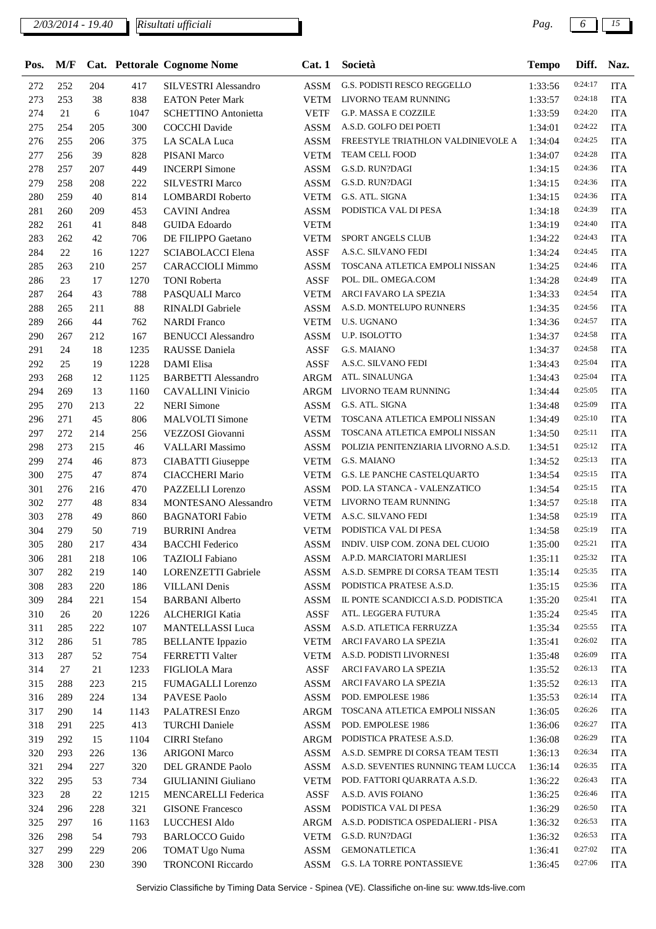| Pos. | M/F |     |        | Cat. Pettorale Cognome Nome | Cat.1       | Società                              | <b>Tempo</b> | Diff.   | Naz.       |
|------|-----|-----|--------|-----------------------------|-------------|--------------------------------------|--------------|---------|------------|
| 272  | 252 | 204 | 417    | SILVESTRI Alessandro        | ASSM        | G.S. PODISTI RESCO REGGELLO          | 1:33:56      | 0:24:17 | <b>ITA</b> |
| 273  | 253 | 38  | 838    | <b>EATON Peter Mark</b>     | <b>VETM</b> | LIVORNO TEAM RUNNING                 | 1:33:57      | 0:24:18 | <b>ITA</b> |
| 274  | 21  | 6   | 1047   | <b>SCHETTINO Antonietta</b> | <b>VETF</b> | G.P. MASSA E COZZILE                 | 1:33:59      | 0:24:20 | <b>ITA</b> |
| 275  | 254 | 205 | 300    | <b>COCCHI</b> Davide        | <b>ASSM</b> | A.S.D. GOLFO DEI POETI               | 1:34:01      | 0:24:22 | <b>ITA</b> |
| 276  | 255 | 206 | 375    | LA SCALA Luca               | <b>ASSM</b> | FREESTYLE TRIATHLON VALDINIEVOLE A   | 1:34:04      | 0:24:25 | <b>ITA</b> |
| 277  | 256 | 39  | 828    | <b>PISANI</b> Marco         | <b>VETM</b> | TEAM CELL FOOD                       | 1:34:07      | 0:24:28 | <b>ITA</b> |
| 278  | 257 | 207 | 449    | <b>INCERPI Simone</b>       | <b>ASSM</b> | G.S.D. RUN?DAGI                      | 1:34:15      | 0:24:36 | <b>ITA</b> |
| 279  | 258 | 208 | 222    | <b>SILVESTRI Marco</b>      | <b>ASSM</b> | G.S.D. RUN?DAGI                      | 1:34:15      | 0:24:36 | <b>ITA</b> |
| 280  | 259 | 40  | 814    | <b>LOMBARDI</b> Roberto     | <b>VETM</b> | G.S. ATL. SIGNA                      | 1:34:15      | 0:24:36 | <b>ITA</b> |
| 281  | 260 | 209 | 453    | <b>CAVINI</b> Andrea        | ASSM        | PODISTICA VAL DI PESA                | 1:34:18      | 0:24:39 | <b>ITA</b> |
| 282  | 261 | 41  | 848    | <b>GUIDA</b> Edoardo        | <b>VETM</b> |                                      | 1:34:19      | 0:24:40 | <b>ITA</b> |
| 283  | 262 | 42  | 706    | DE FILIPPO Gaetano          | <b>VETM</b> | SPORT ANGELS CLUB                    | 1:34:22      | 0:24:43 | <b>ITA</b> |
| 284  | 22  | 16  | 1227   | SCIABOLACCI Elena           | ASSF        | A.S.C. SILVANO FEDI                  | 1:34:24      | 0:24:45 | <b>ITA</b> |
| 285  | 263 | 210 | 257    | <b>CARACCIOLI Mimmo</b>     | <b>ASSM</b> | TOSCANA ATLETICA EMPOLI NISSAN       | 1:34:25      | 0:24:46 | <b>ITA</b> |
| 286  | 23  | 17  | 1270   | <b>TONI Roberta</b>         | <b>ASSF</b> | POL. DIL. OMEGA.COM                  | 1:34:28      | 0:24:49 | <b>ITA</b> |
| 287  | 264 | 43  | 788    | PASQUALI Marco              | <b>VETM</b> | ARCI FAVARO LA SPEZIA                | 1:34:33      | 0:24:54 | <b>ITA</b> |
| 288  | 265 | 211 | 88     | RINALDI Gabriele            | <b>ASSM</b> | A.S.D. MONTELUPO RUNNERS             | 1:34:35      | 0:24:56 | <b>ITA</b> |
| 289  | 266 | 44  | 762    | <b>NARDI</b> Franco         | <b>VETM</b> | <b>U.S. UGNANO</b>                   | 1:34:36      | 0:24:57 | <b>ITA</b> |
| 290  | 267 | 212 | 167    | <b>BENUCCI</b> Alessandro   | <b>ASSM</b> | U.P. ISOLOTTO                        | 1:34:37      | 0:24:58 | <b>ITA</b> |
| 291  | 24  | 18  | 1235   | RAUSSE Daniela              | <b>ASSF</b> | G.S. MAIANO                          | 1:34:37      | 0:24:58 | <b>ITA</b> |
| 292  | 25  | 19  | 1228   | <b>DAMI</b> Elisa           | <b>ASSF</b> | A.S.C. SILVANO FEDI                  | 1:34:43      | 0:25:04 | <b>ITA</b> |
| 293  | 268 | 12  | 1125   | <b>BARBETTI Alessandro</b>  | <b>ARGM</b> | ATL. SINALUNGA                       | 1:34:43      | 0:25:04 | <b>ITA</b> |
| 294  | 269 | 13  | 1160   | <b>CAVALLINI Vinicio</b>    | ARGM        | LIVORNO TEAM RUNNING                 | 1:34:44      | 0:25:05 | <b>ITA</b> |
| 295  | 270 | 213 | $22\,$ | <b>NERI</b> Simone          | <b>ASSM</b> | G.S. ATL. SIGNA                      | 1:34:48      | 0:25:09 | <b>ITA</b> |
| 296  | 271 | 45  | 806    | <b>MALVOLTI</b> Simone      | <b>VETM</b> | TOSCANA ATLETICA EMPOLI NISSAN       | 1:34:49      | 0:25:10 | <b>ITA</b> |
| 297  | 272 | 214 | 256    | VEZZOSI Giovanni            | <b>ASSM</b> | TOSCANA ATLETICA EMPOLI NISSAN       | 1:34:50      | 0:25:11 | <b>ITA</b> |
| 298  | 273 | 215 | 46     | <b>VALLARI</b> Massimo      | <b>ASSM</b> | POLIZIA PENITENZIARIA LIVORNO A.S.D. | 1:34:51      | 0:25:12 | <b>ITA</b> |
| 299  | 274 | 46  | 873    | <b>CIABATTI</b> Giuseppe    | <b>VETM</b> | G.S. MAIANO                          | 1:34:52      | 0:25:13 | <b>ITA</b> |
| 300  | 275 | 47  | 874    | <b>CIACCHERI Mario</b>      | <b>VETM</b> | G.S. LE PANCHE CASTELQUARTO          | 1:34:54      | 0:25:15 | <b>ITA</b> |
| 301  | 276 | 216 | 470    | PAZZELLI Lorenzo            | ASSM        | POD. LA STANCA - VALENZATICO         | 1:34:54      | 0:25:15 | <b>ITA</b> |
| 302  | 277 | 48  | 834    | MONTESANO Alessandro        | <b>VETM</b> | LIVORNO TEAM RUNNING                 | 1:34:57      | 0:25:18 | <b>ITA</b> |
| 303  | 278 | 49  | 860    | <b>BAGNATORI Fabio</b>      | <b>VETM</b> | A.S.C. SILVANO FEDI                  | 1:34:58      | 0:25:19 | <b>ITA</b> |
| 304  | 279 | 50  | 719    | <b>BURRINI</b> Andrea       | <b>VETM</b> | PODISTICA VAL DI PESA                | 1:34:58      | 0:25:19 | <b>ITA</b> |
| 305  | 280 | 217 | 434    | <b>BACCHI</b> Federico      | <b>ASSM</b> | INDIV. UISP COM. ZONA DEL CUOIO      | 1:35:00      | 0:25:21 | <b>ITA</b> |
| 306  | 281 | 218 | 106    | TAZIOLI Fabiano             | ASSM        | A.P.D. MARCIATORI MARLIESI           | 1:35:11      | 0:25:32 | ITA        |
| 307  | 282 | 219 | 140    | LORENZETTI Gabriele         | <b>ASSM</b> | A.S.D. SEMPRE DI CORSA TEAM TESTI    | 1:35:14      | 0:25:35 | <b>ITA</b> |
| 308  | 283 | 220 | 186    | <b>VILLANI</b> Denis        | <b>ASSM</b> | PODISTICA PRATESE A.S.D.             | 1:35:15      | 0:25:36 | <b>ITA</b> |
| 309  | 284 | 221 | 154    | <b>BARBANI</b> Alberto      | <b>ASSM</b> | IL PONTE SCANDICCI A.S.D. PODISTICA  | 1:35:20      | 0:25:41 | <b>ITA</b> |
| 310  | 26  | 20  | 1226   | <b>ALCHERIGI Katia</b>      | ASSF        | ATL. LEGGERA FUTURA                  | 1:35:24      | 0:25:45 | <b>ITA</b> |
| 311  | 285 | 222 | 107    | MANTELLASSI Luca            | <b>ASSM</b> | A.S.D. ATLETICA FERRUZZA             | 1:35:34      | 0:25:55 | <b>ITA</b> |
| 312  | 286 | 51  | 785    | <b>BELLANTE</b> Ippazio     | <b>VETM</b> | ARCI FAVARO LA SPEZIA                | 1:35:41      | 0:26:02 | <b>ITA</b> |
| 313  | 287 | 52  | 754    | FERRETTI Valter             | <b>VETM</b> | A.S.D. PODISTI LIVORNESI             | 1:35:48      | 0:26:09 | <b>ITA</b> |
| 314  | 27  | 21  | 1233   | FIGLIOLA Mara               | ASSF        | ARCI FAVARO LA SPEZIA                | 1:35:52      | 0:26:13 | <b>ITA</b> |
| 315  | 288 | 223 | 215    | FUMAGALLI Lorenzo           | <b>ASSM</b> | ARCI FAVARO LA SPEZIA                | 1:35:52      | 0:26:13 | <b>ITA</b> |
| 316  | 289 | 224 | 134    | PAVESE Paolo                | ASSM        | POD. EMPOLESE 1986                   | 1:35:53      | 0:26:14 | <b>ITA</b> |
| 317  | 290 | 14  | 1143   | <b>PALATRESI Enzo</b>       | ARGM        | TOSCANA ATLETICA EMPOLI NISSAN       | 1:36:05      | 0:26:26 | <b>ITA</b> |
| 318  | 291 | 225 | 413    | <b>TURCHI</b> Daniele       | ASSM        | POD. EMPOLESE 1986                   | 1:36:06      | 0:26:27 | <b>ITA</b> |
| 319  | 292 | 15  | 1104   | <b>CIRRI</b> Stefano        | ARGM        | PODISTICA PRATESE A.S.D.             | 1:36:08      | 0:26:29 | <b>ITA</b> |
| 320  | 293 | 226 | 136    | <b>ARIGONI Marco</b>        | ASSM        | A.S.D. SEMPRE DI CORSA TEAM TESTI    | 1:36:13      | 0:26:34 | <b>ITA</b> |
| 321  | 294 | 227 | 320    | DEL GRANDE Paolo            | ASSM        | A.S.D. SEVENTIES RUNNING TEAM LUCCA  | 1:36:14      | 0:26:35 | <b>ITA</b> |
| 322  | 295 | 53  | 734    | GIULIANINI Giuliano         | <b>VETM</b> | POD. FATTORI QUARRATA A.S.D.         | 1:36:22      | 0:26:43 | ITA        |
| 323  | 28  | 22  | 1215   | <b>MENCARELLI Federica</b>  | ASSF        | A.S.D. AVIS FOIANO                   | 1:36:25      | 0:26:46 | <b>ITA</b> |
| 324  | 296 | 228 | 321    | <b>GISONE Francesco</b>     | ASSM        | PODISTICA VAL DI PESA                | 1:36:29      | 0:26:50 | <b>ITA</b> |
| 325  | 297 | 16  | 1163   | LUCCHESI Aldo               | ARGM        | A.S.D. PODISTICA OSPEDALIERI - PISA  | 1:36:32      | 0:26:53 | <b>ITA</b> |
| 326  | 298 | 54  | 793    | <b>BARLOCCO</b> Guido       | <b>VETM</b> | G.S.D. RUN?DAGI                      | 1:36:32      | 0:26:53 | <b>ITA</b> |
| 327  | 299 | 229 | 206    | <b>TOMAT Ugo Numa</b>       | ASSM        | <b>GEMONATLETICA</b>                 | 1:36:41      | 0:27:02 | <b>ITA</b> |
| 328  | 300 | 230 | 390    | <b>TRONCONI Riccardo</b>    | ASSM        | G.S. LA TORRE PONTASSIEVE            | 1:36:45      | 0:27:06 | <b>ITA</b> |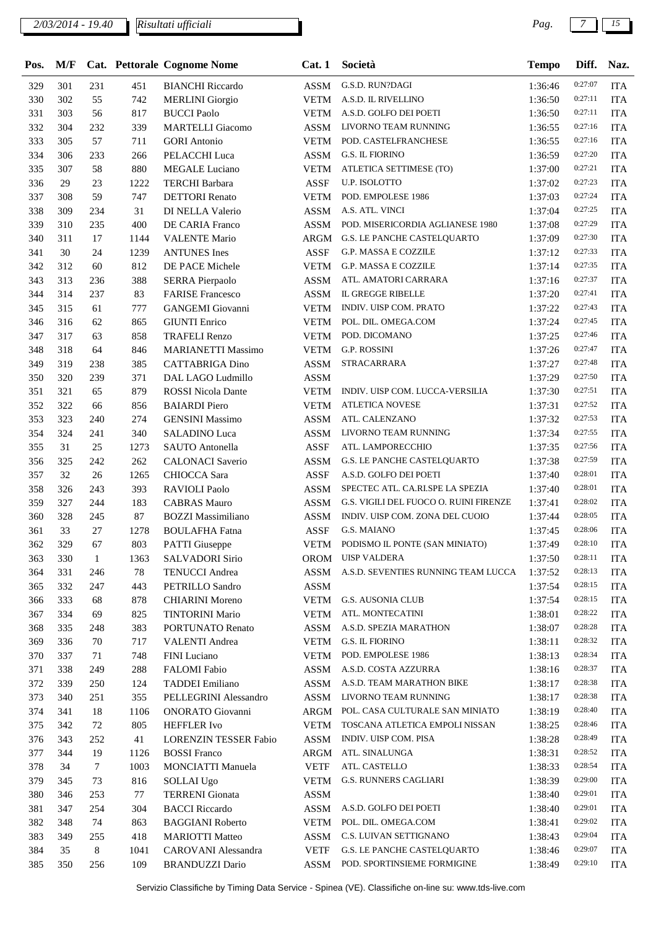| Pos. | M/F |              |      | Cat. Pettorale Cognome Nome  | Cat. 1      | Società                                | <b>Tempo</b> | Diff.   | Naz.       |
|------|-----|--------------|------|------------------------------|-------------|----------------------------------------|--------------|---------|------------|
| 329  | 301 | 231          | 451  | <b>BIANCHI</b> Riccardo      | <b>ASSM</b> | G.S.D. RUN?DAGI                        | 1:36:46      | 0:27:07 | <b>ITA</b> |
| 330  | 302 | 55           | 742  | <b>MERLINI</b> Giorgio       | <b>VETM</b> | A.S.D. IL RIVELLINO                    | 1:36:50      | 0:27:11 | <b>ITA</b> |
| 331  | 303 | 56           | 817  | <b>BUCCI Paolo</b>           | <b>VETM</b> | A.S.D. GOLFO DEI POETI                 | 1:36:50      | 0:27:11 | <b>ITA</b> |
| 332  | 304 | 232          | 339  | <b>MARTELLI</b> Giacomo      | <b>ASSM</b> | LIVORNO TEAM RUNNING                   | 1:36:55      | 0:27:16 | <b>ITA</b> |
| 333  | 305 | 57           | 711  | <b>GORI</b> Antonio          | <b>VETM</b> | POD. CASTELFRANCHESE                   | 1:36:55      | 0:27:16 | <b>ITA</b> |
| 334  | 306 | 233          | 266  | PELACCHI Luca                | ASSM        | G.S. IL FIORINO                        | 1:36:59      | 0:27:20 | <b>ITA</b> |
| 335  | 307 | 58           | 880  | MEGALE Luciano               | <b>VETM</b> | ATLETICA SETTIMESE (TO)                | 1:37:00      | 0:27:21 | <b>ITA</b> |
| 336  | 29  | 23           | 1222 | <b>TERCHI</b> Barbara        | ASSF        | U.P. ISOLOTTO                          | 1:37:02      | 0:27:23 | <b>ITA</b> |
| 337  | 308 | 59           | 747  | <b>DETTORI</b> Renato        | <b>VETM</b> | POD. EMPOLESE 1986                     | 1:37:03      | 0:27:24 | <b>ITA</b> |
| 338  | 309 | 234          | 31   | DI NELLA Valerio             | <b>ASSM</b> | A.S. ATL. VINCI                        | 1:37:04      | 0:27:25 | <b>ITA</b> |
| 339  | 310 | 235          | 400  | DE CARIA Franco              | <b>ASSM</b> | POD. MISERICORDIA AGLIANESE 1980       | 1:37:08      | 0:27:29 | <b>ITA</b> |
| 340  | 311 | 17           | 1144 | <b>VALENTE Mario</b>         | <b>ARGM</b> | G.S. LE PANCHE CASTELQUARTO            | 1:37:09      | 0:27:30 | <b>ITA</b> |
| 341  | 30  | 24           | 1239 | <b>ANTUNES</b> Ines          | <b>ASSF</b> | G.P. MASSA E COZZILE                   | 1:37:12      | 0:27:33 | <b>ITA</b> |
| 342  | 312 | 60           | 812  | DE PACE Michele              | <b>VETM</b> | G.P. MASSA E COZZILE                   | 1:37:14      | 0:27:35 | <b>ITA</b> |
| 343  | 313 | 236          | 388  | <b>SERRA Pierpaolo</b>       | <b>ASSM</b> | ATL. AMATORI CARRARA                   | 1:37:16      | 0:27:37 | <b>ITA</b> |
| 344  | 314 | 237          | 83   | <b>FARISE Francesco</b>      | <b>ASSM</b> | IL GREGGE RIBELLE                      | 1:37:20      | 0:27:41 | <b>ITA</b> |
| 345  | 315 | 61           | 777  | <b>GANGEMI</b> Giovanni      | <b>VETM</b> | INDIV. UISP COM. PRATO                 | 1:37:22      | 0:27:43 | <b>ITA</b> |
| 346  | 316 | 62           | 865  | <b>GIUNTI Enrico</b>         | <b>VETM</b> | POL. DIL. OMEGA.COM                    | 1:37:24      | 0:27:45 | <b>ITA</b> |
| 347  | 317 | 63           | 858  | <b>TRAFELI Renzo</b>         | <b>VETM</b> | POD. DICOMANO                          | 1:37:25      | 0:27:46 | <b>ITA</b> |
| 348  | 318 | 64           | 846  | <b>MARIANETTI Massimo</b>    | <b>VETM</b> | <b>G.P. ROSSINI</b>                    | 1:37:26      | 0:27:47 | <b>ITA</b> |
| 349  | 319 | 238          | 385  | <b>CATTABRIGA Dino</b>       | <b>ASSM</b> | STRACARRARA                            | 1:37:27      | 0:27:48 | <b>ITA</b> |
| 350  | 320 | 239          | 371  | DAL LAGO Ludmillo            | <b>ASSM</b> |                                        | 1:37:29      | 0:27:50 | <b>ITA</b> |
| 351  | 321 | 65           | 879  | <b>ROSSI Nicola Dante</b>    | <b>VETM</b> | INDIV. UISP COM. LUCCA-VERSILIA        | 1:37:30      | 0:27:51 | <b>ITA</b> |
| 352  | 322 | 66           | 856  | <b>BAIARDI</b> Piero         | <b>VETM</b> | <b>ATLETICA NOVESE</b>                 | 1:37:31      | 0:27:52 | <b>ITA</b> |
| 353  | 323 | 240          | 274  | <b>GENSINI</b> Massimo       | <b>ASSM</b> | ATL. CALENZANO                         | 1:37:32      | 0:27:53 | <b>ITA</b> |
| 354  | 324 | 241          | 340  | <b>SALADINO Luca</b>         | <b>ASSM</b> | LIVORNO TEAM RUNNING                   | 1:37:34      | 0:27:55 | <b>ITA</b> |
| 355  | 31  | 25           | 1273 | SAUTO Antonella              | <b>ASSF</b> | ATL. LAMPORECCHIO                      | 1:37:35      | 0:27:56 | <b>ITA</b> |
| 356  | 325 | 242          | 262  | <b>CALONACI</b> Saverio      | <b>ASSM</b> | G.S. LE PANCHE CASTELQUARTO            | 1:37:38      | 0:27:59 | <b>ITA</b> |
| 357  | 32  | 26           | 1265 | CHIOCCA Sara                 | <b>ASSF</b> | A.S.D. GOLFO DEI POETI                 | 1:37:40      | 0:28:01 | <b>ITA</b> |
| 358  | 326 | 243          | 393  | <b>RAVIOLI Paolo</b>         | <b>ASSM</b> | SPECTEC ATL. CA.RI.SPE LA SPEZIA       | 1:37:40      | 0:28:01 | <b>ITA</b> |
| 359  | 327 | 244          | 183  | <b>CABRAS Mauro</b>          | <b>ASSM</b> | G.S. VIGILI DEL FUOCO O. RUINI FIRENZE | 1:37:41      | 0:28:02 | <b>ITA</b> |
| 360  | 328 | 245          | 87   | <b>BOZZI Massimiliano</b>    | <b>ASSM</b> | INDIV. UISP COM. ZONA DEL CUOIO        | 1:37:44      | 0:28:05 | <b>ITA</b> |
| 361  | 33  | 27           | 1278 | <b>BOULAFHA Fatna</b>        | <b>ASSF</b> | <b>G.S. MAIANO</b>                     | 1:37:45      | 0:28:06 | <b>ITA</b> |
| 362  | 329 | 67           | 803  | <b>PATTI</b> Giuseppe        | <b>VETM</b> | PODISMO IL PONTE (SAN MINIATO)         | 1:37:49      | 0:28:10 | <b>ITA</b> |
| 363  | 330 | $\mathbf{1}$ | 1363 | <b>SALVADORI Sirio</b>       |             | OROM UISP VALDERA                      | 1:37:50      | 0:28:11 | <b>ITA</b> |
| 364  | 331 | 246          | 78   | <b>TENUCCI</b> Andrea        | ASSM        | A.S.D. SEVENTIES RUNNING TEAM LUCCA    | 1:37:52      | 0:28:13 | <b>ITA</b> |
| 365  | 332 | 247          | 443  | PETRILLO Sandro              | <b>ASSM</b> |                                        | 1:37:54      | 0:28:15 | <b>ITA</b> |
| 366  | 333 | 68           | 878  | <b>CHIARINI Moreno</b>       | <b>VETM</b> | <b>G.S. AUSONIA CLUB</b>               | 1:37:54      | 0:28:15 | <b>ITA</b> |
| 367  | 334 | 69           | 825  | <b>TINTORINI Mario</b>       | <b>VETM</b> | ATL. MONTECATINI                       | 1:38:01      | 0:28:22 | <b>ITA</b> |
| 368  | 335 | 248          | 383  | PORTUNATO Renato             | ASSM        | A.S.D. SPEZIA MARATHON                 | 1:38:07      | 0:28:28 | <b>ITA</b> |
| 369  | 336 | 70           | 717  | <b>VALENTI Andrea</b>        | <b>VETM</b> | G.S. IL FIORINO                        | 1:38:11      | 0:28:32 | <b>ITA</b> |
| 370  | 337 | 71           | 748  | <b>FINI</b> Luciano          | <b>VETM</b> | POD. EMPOLESE 1986                     | 1:38:13      | 0:28:34 | <b>ITA</b> |
| 371  | 338 | 249          | 288  | <b>FALOMI</b> Fabio          | ASSM        | A.S.D. COSTA AZZURRA                   | 1:38:16      | 0:28:37 | <b>ITA</b> |
| 372  | 339 | 250          | 124  | <b>TADDEI</b> Emiliano       | <b>ASSM</b> | A.S.D. TEAM MARATHON BIKE              | 1:38:17      | 0:28:38 | <b>ITA</b> |
| 373  | 340 | 251          | 355  | PELLEGRINI Alessandro        | ASSM        | LIVORNO TEAM RUNNING                   | 1:38:17      | 0:28:38 | <b>ITA</b> |
| 374  | 341 | 18           | 1106 | ONORATO Giovanni             | ARGM        | POL. CASA CULTURALE SAN MINIATO        | 1:38:19      | 0:28:40 | <b>ITA</b> |
| 375  | 342 | 72           | 805  | <b>HEFFLER</b> Ivo           | <b>VETM</b> | TOSCANA ATLETICA EMPOLI NISSAN         | 1:38:25      | 0:28:46 | ITA        |
| 376  | 343 | 252          | 41   | <b>LORENZIN TESSER Fabio</b> | <b>ASSM</b> | INDIV. UISP COM. PISA                  | 1:38:28      | 0:28:49 | ITA        |
| 377  | 344 | 19           | 1126 | <b>BOSSI</b> Franco          | ARGM        | ATL. SINALUNGA                         | 1:38:31      | 0:28:52 | ITA        |
| 378  | 34  | 7            | 1003 | <b>MONCIATTI Manuela</b>     | <b>VETF</b> | ATL. CASTELLO                          | 1:38:33      | 0:28:54 | <b>ITA</b> |
| 379  | 345 | 73           | 816  | SOLLAI Ugo                   | <b>VETM</b> | G.S. RUNNERS CAGLIARI                  | 1:38:39      | 0:29:00 | <b>ITA</b> |
| 380  | 346 | 253          | 77   | <b>TERRENI</b> Gionata       | <b>ASSM</b> |                                        | 1:38:40      | 0:29:01 | <b>ITA</b> |
| 381  | 347 | 254          | 304  | <b>BACCI</b> Riccardo        | ASSM        | A.S.D. GOLFO DEI POETI                 | 1:38:40      | 0:29:01 | <b>ITA</b> |
| 382  | 348 | 74           | 863  | <b>BAGGIANI Roberto</b>      | <b>VETM</b> | POL. DIL. OMEGA.COM                    | 1:38:41      | 0:29:02 | <b>ITA</b> |
| 383  | 349 | 255          | 418  | <b>MARIOTTI Matteo</b>       | <b>ASSM</b> | C.S. LUIVAN SETTIGNANO                 | 1:38:43      | 0:29:04 | <b>ITA</b> |
| 384  | 35  | 8            | 1041 | CAROVANI Alessandra          | <b>VETF</b> | G.S. LE PANCHE CASTELQUARTO            | 1:38:46      | 0:29:07 | <b>ITA</b> |
| 385  | 350 | 256          | 109  | <b>BRANDUZZI Dario</b>       | <b>ASSM</b> | POD. SPORTINSIEME FORMIGINE            | 1:38:49      | 0:29:10 | <b>ITA</b> |
|      |     |              |      |                              |             |                                        |              |         |            |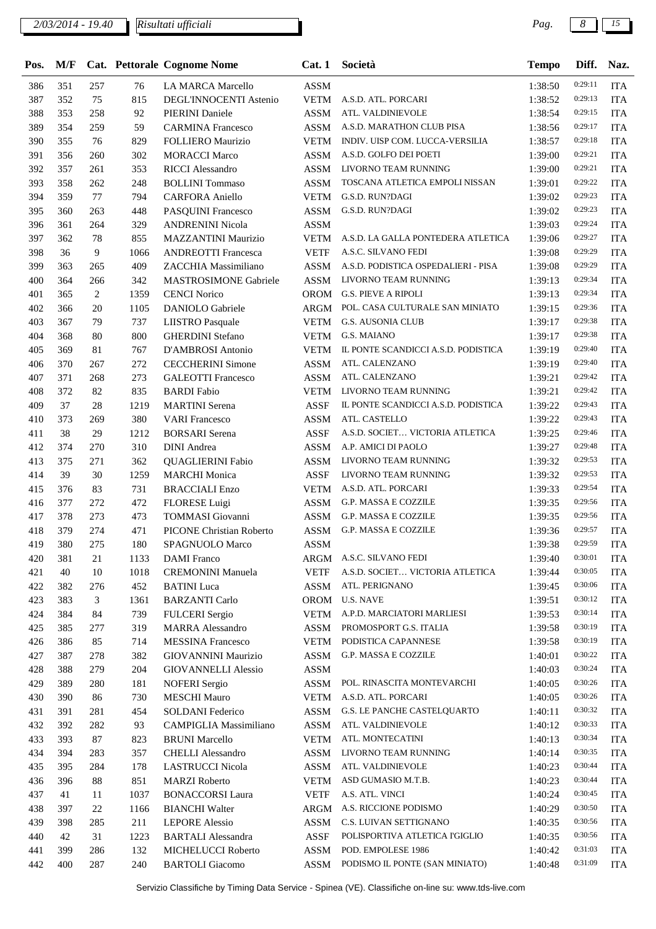| Pos. | M/F |        |      | Cat. Pettorale Cognome Nome     | Cat.1       | Società                             | <b>Tempo</b> | Diff.   | Naz.       |
|------|-----|--------|------|---------------------------------|-------------|-------------------------------------|--------------|---------|------------|
| 386  | 351 | 257    | 76   | <b>LA MARCA Marcello</b>        | <b>ASSM</b> |                                     | 1:38:50      | 0:29:11 | <b>ITA</b> |
| 387  | 352 | 75     | 815  | DEGL'INNOCENTI Astenio          | <b>VETM</b> | A.S.D. ATL. PORCARI                 | 1:38:52      | 0:29:13 | <b>ITA</b> |
| 388  | 353 | 258    | 92   | <b>PIERINI</b> Daniele          | <b>ASSM</b> | ATL. VALDINIEVOLE                   | 1:38:54      | 0:29:15 | <b>ITA</b> |
| 389  | 354 | 259    | 59   | <b>CARMINA Francesco</b>        | <b>ASSM</b> | A.S.D. MARATHON CLUB PISA           | 1:38:56      | 0:29:17 | <b>ITA</b> |
| 390  | 355 | 76     | 829  | <b>FOLLIERO</b> Maurizio        | <b>VETM</b> | INDIV. UISP COM. LUCCA-VERSILIA     | 1:38:57      | 0:29:18 | <b>ITA</b> |
| 391  | 356 | 260    | 302  | <b>MORACCI Marco</b>            | <b>ASSM</b> | A.S.D. GOLFO DEI POETI              | 1:39:00      | 0:29:21 | <b>ITA</b> |
| 392  | 357 | 261    | 353  | <b>RICCI</b> Alessandro         | <b>ASSM</b> | LIVORNO TEAM RUNNING                | 1:39:00      | 0:29:21 | <b>ITA</b> |
| 393  | 358 | 262    | 248  | <b>BOLLINI</b> Tommaso          | <b>ASSM</b> | TOSCANA ATLETICA EMPOLI NISSAN      | 1:39:01      | 0:29:22 | <b>ITA</b> |
| 394  | 359 | 77     | 794  | <b>CARFORA Aniello</b>          | <b>VETM</b> | G.S.D. RUN?DAGI                     | 1:39:02      | 0:29:23 | <b>ITA</b> |
| 395  | 360 | 263    | 448  | PASQUINI Francesco              | ASSM        | G.S.D. RUN?DAGI                     | 1:39:02      | 0:29:23 | <b>ITA</b> |
| 396  | 361 | 264    | 329  | <b>ANDRENINI Nicola</b>         | <b>ASSM</b> |                                     | 1:39:03      | 0:29:24 | <b>ITA</b> |
| 397  | 362 | 78     | 855  | MAZZANTINI Maurizio             | <b>VETM</b> | A.S.D. LA GALLA PONTEDERA ATLETICA  | 1:39:06      | 0:29:27 | <b>ITA</b> |
| 398  | 36  | 9      | 1066 | <b>ANDREOTTI Francesca</b>      | <b>VETF</b> | A.S.C. SILVANO FEDI                 | 1:39:08      | 0:29:29 | <b>ITA</b> |
| 399  | 363 | 265    | 409  | ZACCHIA Massimiliano            | <b>ASSM</b> | A.S.D. PODISTICA OSPEDALIERI - PISA | 1:39:08      | 0:29:29 | <b>ITA</b> |
| 400  | 364 | 266    | 342  | <b>MASTROSIMONE Gabriele</b>    | <b>ASSM</b> | LIVORNO TEAM RUNNING                | 1:39:13      | 0:29:34 | <b>ITA</b> |
| 401  | 365 | 2      | 1359 | <b>CENCI Norico</b>             | <b>OROM</b> | <b>G.S. PIEVE A RIPOLI</b>          | 1:39:13      | 0:29:34 | <b>ITA</b> |
| 402  | 366 | 20     | 1105 | <b>DANIOLO</b> Gabriele         | ARGM        | POL. CASA CULTURALE SAN MINIATO     | 1:39:15      | 0:29:36 | <b>ITA</b> |
| 403  | 367 | 79     | 737  | <b>LIISTRO</b> Pasquale         | <b>VETM</b> | <b>G.S. AUSONIA CLUB</b>            | 1:39:17      | 0:29:38 | <b>ITA</b> |
| 404  | 368 | 80     | 800  | <b>GHERDINI</b> Stefano         | <b>VETM</b> | G.S. MAIANO                         | 1:39:17      | 0:29:38 | <b>ITA</b> |
| 405  | 369 | 81     | 767  | D'AMBROSI Antonio               | <b>VETM</b> | IL PONTE SCANDICCI A.S.D. PODISTICA | 1:39:19      | 0:29:40 | <b>ITA</b> |
| 406  | 370 | 267    | 272  | <b>CECCHERINI</b> Simone        | <b>ASSM</b> | ATL. CALENZANO                      | 1:39:19      | 0:29:40 | <b>ITA</b> |
| 407  | 371 | 268    | 273  | <b>GALEOTTI Francesco</b>       | <b>ASSM</b> | ATL. CALENZANO                      | 1:39:21      | 0:29:42 | <b>ITA</b> |
| 408  | 372 | 82     | 835  | <b>BARDI</b> Fabio              | <b>VETM</b> | LIVORNO TEAM RUNNING                | 1:39:21      | 0:29:42 | <b>ITA</b> |
| 409  | 37  | 28     | 1219 | <b>MARTINI</b> Serena           | <b>ASSF</b> | IL PONTE SCANDICCI A.S.D. PODISTICA | 1:39:22      | 0:29:43 | <b>ITA</b> |
| 410  | 373 | 269    | 380  | <b>VARI Francesco</b>           | <b>ASSM</b> | ATL. CASTELLO                       | 1:39:22      | 0:29:43 | <b>ITA</b> |
| 411  | 38  | 29     | 1212 | <b>BORSARI</b> Serena           | <b>ASSF</b> | A.S.D. SOCIET VICTORIA ATLETICA     | 1:39:25      | 0:29:46 | <b>ITA</b> |
| 412  | 374 | 270    | 310  | <b>DINI</b> Andrea              | <b>ASSM</b> | A.P. AMICI DI PAOLO                 | 1:39:27      | 0:29:48 | <b>ITA</b> |
| 413  | 375 | 271    | 362  | <b>QUAGLIERINI Fabio</b>        | ASSM        | LIVORNO TEAM RUNNING                | 1:39:32      | 0:29:53 | <b>ITA</b> |
| 414  | 39  | 30     | 1259 | <b>MARCHI</b> Monica            | <b>ASSF</b> | LIVORNO TEAM RUNNING                | 1:39:32      | 0:29:53 | <b>ITA</b> |
| 415  | 376 | 83     | 731  | <b>BRACCIALI Enzo</b>           | <b>VETM</b> | A.S.D. ATL. PORCARI                 | 1:39:33      | 0:29:54 | <b>ITA</b> |
| 416  | 377 | 272    | 472  | FLORESE Luigi                   | ASSM        | G.P. MASSA E COZZILE                | 1:39:35      | 0:29:56 | <b>ITA</b> |
| 417  | 378 | 273    | 473  | <b>TOMMASI</b> Giovanni         | <b>ASSM</b> | G.P. MASSA E COZZILE                | 1:39:35      | 0:29:56 | <b>ITA</b> |
| 418  | 379 | 274    | 471  | <b>PICONE Christian Roberto</b> | <b>ASSM</b> | <b>G.P. MASSA E COZZILE</b>         | 1:39:36      | 0:29:57 | <b>ITA</b> |
| 419  | 380 | 275    | 180  | SPAGNUOLO Marco                 | <b>ASSM</b> |                                     | 1:39:38      | 0:29:59 | <b>ITA</b> |
| 420  | 381 | 21     | 1133 | <b>DAMI</b> Franco              |             | ARGM A.S.C. SILVANO FEDI            | 1:39:40      | 0:30:01 | <b>ITA</b> |
| 421  | 40  | 10     | 1018 | <b>CREMONINI</b> Manuela        | <b>VETF</b> | A.S.D. SOCIET VICTORIA ATLETICA     | 1:39:44      | 0:30:05 | <b>ITA</b> |
| 422  | 382 | 276    | 452  | <b>BATINI</b> Luca              | ASSM        | ATL. PERIGNANO                      | 1:39:45      | 0:30:06 | <b>ITA</b> |
| 423  | 383 | 3      | 1361 | <b>BARZANTI Carlo</b>           |             | OROM U.S. NAVE                      | 1:39:51      | 0:30:12 | <b>ITA</b> |
| 424  | 384 | 84     | 739  | <b>FULCERI</b> Sergio           | <b>VETM</b> | A.P.D. MARCIATORI MARLIESI          | 1:39:53      | 0:30:14 | <b>ITA</b> |
| 425  | 385 | 277    | 319  | <b>MARRA</b> Alessandro         | ASSM        | PROMOSPORT G.S. ITALIA              | 1:39:58      | 0:30:19 | <b>ITA</b> |
| 426  | 386 | 85     | 714  | <b>MESSINA Francesco</b>        | <b>VETM</b> | PODISTICA CAPANNESE                 | 1:39:58      | 0:30:19 | <b>ITA</b> |
| 427  | 387 | 278    | 382  | GIOVANNINI Maurizio             | ASSM        | G.P. MASSA E COZZILE                | 1:40:01      | 0:30:22 | <b>ITA</b> |
| 428  | 388 | 279    | 204  | <b>GIOVANNELLI Alessio</b>      | ASSM        |                                     | 1:40:03      | 0:30:24 | <b>ITA</b> |
| 429  | 389 | 280    | 181  | <b>NOFERI</b> Sergio            | <b>ASSM</b> | POL. RINASCITA MONTEVARCHI          | 1:40:05      | 0:30:26 | <b>ITA</b> |
| 430  | 390 | 86     | 730  | <b>MESCHI</b> Mauro             | <b>VETM</b> | A.S.D. ATL. PORCARI                 | 1:40:05      | 0:30:26 | <b>ITA</b> |
| 431  | 391 | 281    | 454  | SOLDANI Federico                | ASSM        | G.S. LE PANCHE CASTELQUARTO         | 1:40:11      | 0:30:32 | <b>ITA</b> |
| 432  | 392 | 282    | 93   | CAMPIGLIA Massimiliano          | ASSM        | ATL. VALDINIEVOLE                   | 1:40:12      | 0:30:33 | <b>ITA</b> |
| 433  | 393 | 87     | 823  | <b>BRUNI</b> Marcello           | <b>VETM</b> | ATL. MONTECATINI                    | 1:40:13      | 0:30:34 | <b>ITA</b> |
| 434  | 394 | 283    | 357  | <b>CHELLI</b> Alessandro        | ASSM        | LIVORNO TEAM RUNNING                | 1:40:14      | 0:30:35 | <b>ITA</b> |
| 435  | 395 | 284    | 178  | <b>LASTRUCCI Nicola</b>         | ASSM        | ATL. VALDINIEVOLE                   | 1:40:23      | 0:30:44 | <b>ITA</b> |
| 436  | 396 | $88\,$ | 851  | <b>MARZI Roberto</b>            | <b>VETM</b> | ASD GUMASIO M.T.B.                  | 1:40:23      | 0:30:44 | <b>ITA</b> |
| 437  | 41  | 11     | 1037 | <b>BONACCORSI Laura</b>         | <b>VETF</b> | A.S. ATL. VINCI                     | 1:40:24      | 0:30:45 | <b>ITA</b> |
| 438  | 397 | 22     | 1166 | <b>BIANCHI Walter</b>           | <b>ARGM</b> | A.S. RICCIONE PODISMO               | 1:40:29      | 0:30:50 | <b>ITA</b> |
| 439  | 398 | 285    | 211  | <b>LEPORE</b> Alessio           | <b>ASSM</b> | C.S. LUIVAN SETTIGNANO              | 1:40:35      | 0:30:56 | <b>ITA</b> |
| 440  | 42  | 31     | 1223 | <b>BARTALI Alessandra</b>       | ASSF        | POLISPORTIVA ATLETICA l'GIGLIO      | 1:40:35      | 0:30:56 | <b>ITA</b> |
| 441  | 399 | 286    | 132  | MICHELUCCI Roberto              | <b>ASSM</b> | POD. EMPOLESE 1986                  | 1:40:42      | 0:31:03 | <b>ITA</b> |
| 442  | 400 | 287    | 240  | <b>BARTOLI</b> Giacomo          | ASSM        | PODISMO IL PONTE (SAN MINIATO)      | 1:40:48      | 0:31:09 | <b>ITA</b> |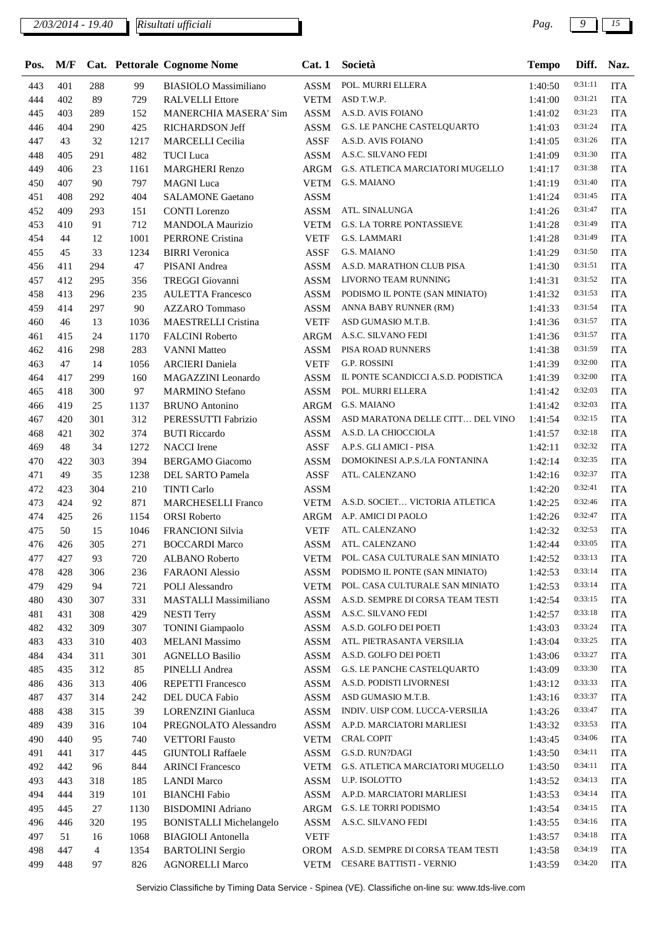| Pos. | M/F |     |      | Cat. Pettorale Cognome Nome    | Cat.1       | Società                                | <b>Tempo</b> | Diff.   | Naz.       |
|------|-----|-----|------|--------------------------------|-------------|----------------------------------------|--------------|---------|------------|
| 443  | 401 | 288 | 99   | <b>BIASIOLO</b> Massimiliano   | <b>ASSM</b> | POL. MURRI ELLERA                      | 1:40:50      | 0:31:11 | <b>ITA</b> |
| 444  | 402 | 89  | 729  | <b>RALVELLI Ettore</b>         | VETM        | ASD T.W.P.                             | 1:41:00      | 0:31:21 | <b>ITA</b> |
| 445  | 403 | 289 | 152  | MANERCHIA MASERA' Sim          | <b>ASSM</b> | A.S.D. AVIS FOIANO                     | 1:41:02      | 0:31:23 | <b>ITA</b> |
| 446  | 404 | 290 | 425  | RICHARDSON Jeff                | <b>ASSM</b> | G.S. LE PANCHE CASTELQUARTO            | 1:41:03      | 0:31:24 | <b>ITA</b> |
| 447  | 43  | 32  | 1217 | <b>MARCELLI</b> Cecilia        | <b>ASSF</b> | A.S.D. AVIS FOIANO                     | 1:41:05      | 0:31:26 | <b>ITA</b> |
| 448  | 405 | 291 | 482  | <b>TUCI</b> Luca               | <b>ASSM</b> | A.S.C. SILVANO FEDI                    | 1:41:09      | 0:31:30 | <b>ITA</b> |
| 449  | 406 | 23  | 1161 | <b>MARGHERI Renzo</b>          | ARGM        | G.S. ATLETICA MARCIATORI MUGELLO       | 1:41:17      | 0:31:38 | <b>ITA</b> |
| 450  | 407 | 90  | 797  | <b>MAGNI</b> Luca              | VETM        | G.S. MAIANO                            | 1:41:19      | 0:31:40 | <b>ITA</b> |
| 451  | 408 | 292 | 404  | <b>SALAMONE Gaetano</b>        | <b>ASSM</b> |                                        | 1:41:24      | 0:31:45 | <b>ITA</b> |
| 452  | 409 | 293 | 151  | <b>CONTI</b> Lorenzo           | <b>ASSM</b> | ATL. SINALUNGA                         | 1:41:26      | 0:31:47 | <b>ITA</b> |
| 453  | 410 | 91  | 712  | <b>MANDOLA Maurizio</b>        | <b>VETM</b> | <b>G.S. LA TORRE PONTASSIEVE</b>       | 1:41:28      | 0:31:49 | <b>ITA</b> |
| 454  | 44  | 12  | 1001 | <b>PERRONE</b> Cristina        | <b>VETF</b> | <b>G.S. LAMMARI</b>                    | 1:41:28      | 0:31:49 | <b>ITA</b> |
| 455  | 45  | 33  | 1234 | <b>BIRRI</b> Veronica          | ASSF        | <b>G.S. MAIANO</b>                     | 1:41:29      | 0:31:50 | <b>ITA</b> |
| 456  | 411 | 294 | 47   | PISANI Andrea                  | <b>ASSM</b> | A.S.D. MARATHON CLUB PISA              | 1:41:30      | 0:31:51 | <b>ITA</b> |
| 457  | 412 | 295 | 356  | <b>TREGGI Giovanni</b>         | <b>ASSM</b> | LIVORNO TEAM RUNNING                   | 1:41:31      | 0:31:52 | <b>ITA</b> |
| 458  | 413 | 296 | 235  | <b>AULETTA Francesco</b>       | <b>ASSM</b> | PODISMO IL PONTE (SAN MINIATO)         | 1:41:32      | 0:31:53 | <b>ITA</b> |
| 459  | 414 | 297 | 90   | <b>AZZARO</b> Tommaso          | <b>ASSM</b> | ANNA BABY RUNNER (RM)                  | 1:41:33      | 0:31:54 | <b>ITA</b> |
| 460  | 46  | 13  | 1036 | <b>MAESTRELLI Cristina</b>     | <b>VETF</b> | ASD GUMASIO M.T.B.                     | 1:41:36      | 0:31:57 | <b>ITA</b> |
| 461  | 415 | 24  | 1170 | <b>FALCINI Roberto</b>         | ARGM        | A.S.C. SILVANO FEDI                    | 1:41:36      | 0:31:57 | <b>ITA</b> |
| 462  | 416 | 298 | 283  | <b>VANNI Matteo</b>            | <b>ASSM</b> | PISA ROAD RUNNERS                      | 1:41:38      | 0:31:59 | <b>ITA</b> |
| 463  | 47  | 14  | 1056 | <b>ARCIERI</b> Daniela         | <b>VETF</b> | <b>G.P. ROSSINI</b>                    | 1:41:39      | 0:32:00 | <b>ITA</b> |
| 464  | 417 | 299 | 160  | MAGAZZINI Leonardo             | <b>ASSM</b> | IL PONTE SCANDICCI A.S.D. PODISTICA    | 1:41:39      | 0:32:00 | <b>ITA</b> |
| 465  | 418 | 300 | 97   | <b>MARMINO</b> Stefano         | <b>ASSM</b> | POL. MURRI ELLERA                      | 1:41:42      | 0:32:03 | <b>ITA</b> |
| 466  | 419 | 25  | 1137 | <b>BRUNO</b> Antonino          | ARGM        | <b>G.S. MAIANO</b>                     | 1:41:42      | 0:32:03 | <b>ITA</b> |
| 467  | 420 | 301 | 312  | PERESSUTTI Fabrizio            | <b>ASSM</b> | ASD MARATONA DELLE CITT DEL VINO       | 1:41:54      | 0:32:15 | <b>ITA</b> |
| 468  | 421 | 302 | 374  | <b>BUTI</b> Riccardo           | <b>ASSM</b> | A.S.D. LA CHIOCCIOLA                   | 1:41:57      | 0:32:18 | <b>ITA</b> |
| 469  | 48  | 34  | 1272 | <b>NACCI</b> Irene             | <b>ASSF</b> | A.P.S. GLI AMICI - PISA                | 1:42:11      | 0:32:32 | <b>ITA</b> |
| 470  | 422 | 303 | 394  | <b>BERGAMO</b> Giacomo         | <b>ASSM</b> | DOMOKINESI A.P.S./LA FONTANINA         | 1:42:14      | 0:32:35 | <b>ITA</b> |
| 471  | 49  | 35  | 1238 | DEL SARTO Pamela               | <b>ASSF</b> | ATL. CALENZANO                         | 1:42:16      | 0:32:37 | <b>ITA</b> |
| 472  | 423 | 304 | 210  | <b>TINTI Carlo</b>             | <b>ASSM</b> |                                        | 1:42:20      | 0:32:41 | <b>ITA</b> |
| 473  | 424 | 92  | 871  | <b>MARCHESELLI Franco</b>      | VETM        | A.S.D. SOCIET VICTORIA ATLETICA        | 1:42:25      | 0:32:46 | <b>ITA</b> |
| 474  | 425 | 26  | 1154 | <b>ORSI</b> Roberto            | ARGM        | A.P. AMICI DI PAOLO                    | 1:42:26      | 0:32:47 | <b>ITA</b> |
| 475  | 50  | 15  | 1046 | FRANCIONI Silvia               | <b>VETF</b> | ATL. CALENZANO                         | 1:42:32      | 0:32:53 | <b>ITA</b> |
| 476  | 426 | 305 | 271  | <b>BOCCARDI Marco</b>          | <b>ASSM</b> | ATL. CALENZANO                         | 1:42:44      | 0:33:05 | <b>ITA</b> |
| 477  | 427 | 93  | 720  | <b>ALBANO Roberto</b>          | VETM        | POL. CASA CULTURALE SAN MINIATO        | 1:42:52      | 0:33:13 | <b>ITA</b> |
| 478  | 428 | 306 | 236  | <b>FARAONI</b> Alessio         | <b>ASSM</b> | PODISMO IL PONTE (SAN MINIATO)         | 1:42:53      | 0:33:14 | <b>ITA</b> |
| 479  | 429 | 94  | 721  | POLI Alessandro                | <b>VETM</b> | POL. CASA CULTURALE SAN MINIATO        | 1:42:53      | 0:33:14 | <b>ITA</b> |
| 480  | 430 | 307 | 331  | <b>MASTALLI Massimiliano</b>   | ASSM        | A.S.D. SEMPRE DI CORSA TEAM TESTI      | 1:42:54      | 0:33:15 | <b>ITA</b> |
| 481  | 431 | 308 | 429  | <b>NESTI Terry</b>             | <b>ASSM</b> | A.S.C. SILVANO FEDI                    | 1:42:57      | 0:33:18 | <b>ITA</b> |
| 482  | 432 | 309 | 307  | <b>TONINI</b> Giampaolo        | ASSM        | A.S.D. GOLFO DEI POETI                 | 1:43:03      | 0:33:24 | <b>ITA</b> |
| 483  | 433 | 310 | 403  | <b>MELANI</b> Massimo          | ASSM        | ATL. PIETRASANTA VERSILIA              | 1:43:04      | 0:33:25 | <b>ITA</b> |
| 484  | 434 | 311 | 301  | <b>AGNELLO Basilio</b>         | ASSM        | A.S.D. GOLFO DEI POETI                 | 1:43:06      | 0:33:27 | <b>ITA</b> |
| 485  | 435 | 312 | 85   | PINELLI Andrea                 | ASSM        | G.S. LE PANCHE CASTELQUARTO            | 1:43:09      | 0:33:30 | <b>ITA</b> |
| 486  | 436 | 313 | 406  | <b>REPETTI Francesco</b>       | <b>ASSM</b> | A.S.D. PODISTI LIVORNESI               | 1:43:12      | 0:33:33 | <b>ITA</b> |
| 487  | 437 | 314 | 242  | DEL DUCA Fabio                 | ASSM        | ASD GUMASIO M.T.B.                     | 1:43:16      | 0:33:37 | <b>ITA</b> |
| 488  | 438 | 315 | 39   | LORENZINI Gianluca             | ASSM        | INDIV. UISP COM. LUCCA-VERSILIA        | 1:43:26      | 0:33:47 | <b>ITA</b> |
| 489  | 439 | 316 | 104  | PREGNOLATO Alessandro          | ASSM        | A.P.D. MARCIATORI MARLIESI             | 1:43:32      | 0:33:53 | <b>ITA</b> |
| 490  | 440 | 95  | 740  | <b>VETTORI</b> Fausto          | VETM        | <b>CRAL COPIT</b>                      | 1:43:45      | 0:34:06 | <b>ITA</b> |
| 491  | 441 | 317 | 445  | <b>GIUNTOLI Raffaele</b>       | ASSM        | G.S.D. RUN?DAGI                        | 1:43:50      | 0:34:11 | <b>ITA</b> |
| 492  | 442 | 96  | 844  | <b>ARINCI Francesco</b>        | <b>VETM</b> | G.S. ATLETICA MARCIATORI MUGELLO       | 1:43:50      | 0:34:11 | <b>ITA</b> |
| 493  | 443 | 318 | 185  | <b>LANDI Marco</b>             | ASSM        | U.P. ISOLOTTO                          | 1:43:52      | 0:34:13 | <b>ITA</b> |
| 494  | 444 | 319 | 101  | <b>BIANCHI</b> Fabio           | ASSM        | A.P.D. MARCIATORI MARLIESI             | 1:43:53      | 0:34:14 | <b>ITA</b> |
| 495  | 445 | 27  | 1130 | <b>BISDOMINI</b> Adriano       | ARGM        | G.S. LE TORRI PODISMO                  | 1:43:54      | 0:34:15 | <b>ITA</b> |
| 496  | 446 | 320 | 195  | <b>BONISTALLI Michelangelo</b> | ASSM        | A.S.C. SILVANO FEDI                    | 1:43:55      | 0:34:16 | <b>ITA</b> |
| 497  | 51  | 16  | 1068 | <b>BIAGIOLI</b> Antonella      | <b>VETF</b> |                                        | 1:43:57      | 0:34:18 | <b>ITA</b> |
| 498  | 447 | 4   | 1354 | <b>BARTOLINI</b> Sergio        |             | OROM A.S.D. SEMPRE DI CORSA TEAM TESTI | 1:43:58      | 0:34:19 | <b>ITA</b> |
| 499  | 448 | 97  | 826  | <b>AGNORELLI Marco</b>         | VETM        | CESARE BATTISTI - VERNIO               | 1:43:59      | 0:34:20 | <b>ITA</b> |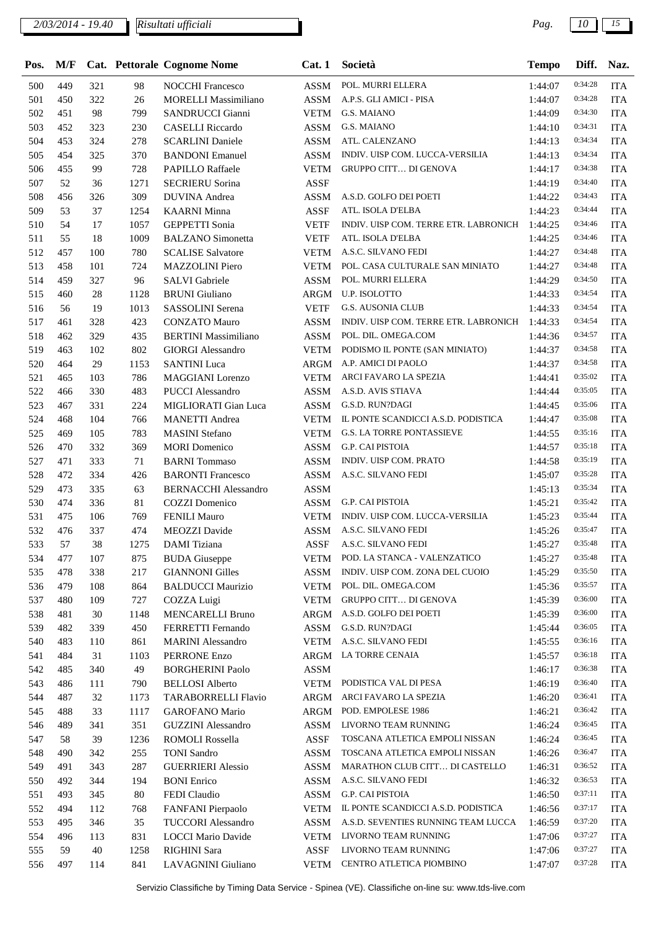| Pos. | M/F |     |        | Cat. Pettorale Cognome Nome | Cat.1       | Società                               | <b>Tempo</b> | Diff.   | Naz.       |
|------|-----|-----|--------|-----------------------------|-------------|---------------------------------------|--------------|---------|------------|
| 500  | 449 | 321 | 98     | <b>NOCCHI Francesco</b>     | <b>ASSM</b> | POL. MURRI ELLERA                     | 1:44:07      | 0:34:28 | <b>ITA</b> |
| 501  | 450 | 322 | 26     | <b>MORELLI Massimiliano</b> | <b>ASSM</b> | A.P.S. GLI AMICI - PISA               | 1:44:07      | 0:34:28 | <b>ITA</b> |
| 502  | 451 | 98  | 799    | SANDRUCCI Gianni            | <b>VETM</b> | G.S. MAIANO                           | 1:44:09      | 0:34:30 | <b>ITA</b> |
| 503  | 452 | 323 | 230    | <b>CASELLI</b> Riccardo     | ASSM        | <b>G.S. MAIANO</b>                    | 1:44:10      | 0:34:31 | <b>ITA</b> |
| 504  | 453 | 324 | 278    | <b>SCARLINI</b> Daniele     | ASSM        | ATL. CALENZANO                        | 1:44:13      | 0:34:34 | <b>ITA</b> |
| 505  | 454 | 325 | 370    | <b>BANDONI</b> Emanuel      | <b>ASSM</b> | INDIV. UISP COM. LUCCA-VERSILIA       | 1:44:13      | 0:34:34 | <b>ITA</b> |
| 506  | 455 | 99  | 728    | PAPILLO Raffaele            | <b>VETM</b> | <b>GRUPPO CITT DI GENOVA</b>          | 1:44:17      | 0:34:38 | <b>ITA</b> |
| 507  | 52  | 36  | 1271   | <b>SECRIERU Sorina</b>      | <b>ASSF</b> |                                       | 1:44:19      | 0:34:40 | <b>ITA</b> |
| 508  | 456 | 326 | 309    | <b>DUVINA</b> Andrea        | <b>ASSM</b> | A.S.D. GOLFO DEI POETI                | 1:44:22      | 0:34:43 | <b>ITA</b> |
| 509  | 53  | 37  | 1254   | <b>KAARNI</b> Minna         | ASSF        | ATL. ISOLA D'ELBA                     | 1:44:23      | 0:34:44 | <b>ITA</b> |
| 510  | 54  | 17  | 1057   | <b>GEPPETTI Sonia</b>       | <b>VETF</b> | INDIV. UISP COM. TERRE ETR. LABRONICH | 1:44:25      | 0:34:46 | <b>ITA</b> |
| 511  | 55  | 18  | 1009   | <b>BALZANO</b> Simonetta    | <b>VETF</b> | ATL. ISOLA D'ELBA                     | 1:44:25      | 0:34:46 | <b>ITA</b> |
| 512  | 457 | 100 | 780    | <b>SCALISE Salvatore</b>    | <b>VETM</b> | A.S.C. SILVANO FEDI                   | 1:44:27      | 0:34:48 | <b>ITA</b> |
| 513  | 458 | 101 | 724    | <b>MAZZOLINI</b> Piero      | <b>VETM</b> | POL. CASA CULTURALE SAN MINIATO       | 1:44:27      | 0:34:48 | <b>ITA</b> |
| 514  | 459 | 327 | 96     | <b>SALVI</b> Gabriele       | ASSM        | POL. MURRI ELLERA                     | 1:44:29      | 0:34:50 | <b>ITA</b> |
| 515  | 460 | 28  | 1128   | <b>BRUNI</b> Giuliano       | ARGM        | U.P. ISOLOTTO                         | 1:44:33      | 0:34:54 | <b>ITA</b> |
| 516  | 56  | 19  | 1013   | SASSOLINI Serena            | <b>VETF</b> | <b>G.S. AUSONIA CLUB</b>              | 1:44:33      | 0:34:54 | <b>ITA</b> |
| 517  | 461 | 328 | 423    | <b>CONZATO Mauro</b>        | ASSM        | INDIV. UISP COM. TERRE ETR. LABRONICH | 1:44:33      | 0:34:54 | <b>ITA</b> |
| 518  | 462 | 329 | 435    | <b>BERTINI</b> Massimiliano | <b>ASSM</b> | POL. DIL. OMEGA.COM                   | 1:44:36      | 0:34:57 | <b>ITA</b> |
| 519  | 463 | 102 | 802    | <b>GIORGI Alessandro</b>    | <b>VETM</b> | PODISMO IL PONTE (SAN MINIATO)        | 1:44:37      | 0:34:58 | <b>ITA</b> |
| 520  | 464 | 29  | 1153   | <b>SANTINI</b> Luca         | ARGM        | A.P. AMICI DI PAOLO                   | 1:44:37      | 0:34:58 | <b>ITA</b> |
| 521  | 465 | 103 | 786    | <b>MAGGIANI</b> Lorenzo     | <b>VETM</b> | ARCI FAVARO LA SPEZIA                 | 1:44:41      | 0:35:02 | <b>ITA</b> |
| 522  | 466 | 330 | 483    | <b>PUCCI</b> Alessandro     | ASSM        | A.S.D. AVIS STIAVA                    | 1:44:44      | 0:35:05 | <b>ITA</b> |
| 523  | 467 | 331 | 224    | MIGLIORATI Gian Luca        | ASSM        | G.S.D. RUN?DAGI                       | 1:44:45      | 0:35:06 | <b>ITA</b> |
| 524  | 468 | 104 | 766    | <b>MANETTI</b> Andrea       | <b>VETM</b> | IL PONTE SCANDICCI A.S.D. PODISTICA   | 1:44:47      | 0:35:08 | <b>ITA</b> |
| 525  | 469 | 105 | 783    | <b>MASINI</b> Stefano       | <b>VETM</b> | <b>G.S. LA TORRE PONTASSIEVE</b>      | 1:44:55      | 0:35:16 | <b>ITA</b> |
| 526  | 470 | 332 | 369    | <b>MORI</b> Domenico        | ASSM        | <b>G.P. CAI PISTOIA</b>               | 1:44:57      | 0:35:18 | <b>ITA</b> |
| 527  | 471 | 333 | 71     | <b>BARNI</b> Tommaso        | ASSM        | INDIV. UISP COM. PRATO                | 1:44:58      | 0:35:19 | <b>ITA</b> |
| 528  | 472 | 334 | 426    | <b>BARONTI Francesco</b>    | <b>ASSM</b> | A.S.C. SILVANO FEDI                   | 1:45:07      | 0:35:28 | <b>ITA</b> |
| 529  | 473 | 335 | 63     | <b>BERNACCHI Alessandro</b> | <b>ASSM</b> |                                       | 1:45:13      | 0:35:34 | <b>ITA</b> |
| 530  | 474 | 336 | 81     | COZZI Domenico              | <b>ASSM</b> | G.P. CAI PISTOIA                      | 1:45:21      | 0:35:42 | <b>ITA</b> |
| 531  | 475 | 106 | 769    | <b>FENILI Mauro</b>         | <b>VETM</b> | INDIV. UISP COM. LUCCA-VERSILIA       | 1:45:23      | 0:35:44 | <b>ITA</b> |
| 532  | 476 | 337 | 474    | <b>MEOZZI</b> Davide        | <b>ASSM</b> | A.S.C. SILVANO FEDI                   | 1:45:26      | 0:35:47 | <b>ITA</b> |
| 533  | 57  | 38  | 1275   | <b>DAMI</b> Tiziana         | <b>ASSF</b> | A.S.C. SILVANO FEDI                   | 1:45:27      | 0:35:48 | <b>ITA</b> |
| 534  | 477 | 107 | 875    | <b>BUDA</b> Giuseppe        | VETM        | POD. LA STANCA - VALENZATICO          | 1:45:27      | 0:35:48 | <b>ITA</b> |
| 535  | 478 | 338 | 217    | <b>GIANNONI Gilles</b>      | ASSM        | INDIV. UISP COM. ZONA DEL CUOIO       | 1:45:29      | 0:35:50 | <b>ITA</b> |
| 536  | 479 | 108 | 864    | <b>BALDUCCI Maurizio</b>    | <b>VETM</b> | POL. DIL. OMEGA.COM                   | 1:45:36      | 0:35:57 | <b>ITA</b> |
| 537  | 480 | 109 | 727    | COZZA Luigi                 | <b>VETM</b> | <b>GRUPPO CITT DI GENOVA</b>          | 1:45:39      | 0:36:00 | <b>ITA</b> |
| 538  | 481 | 30  | 1148   | <b>MENCARELLI Bruno</b>     |             | ARGM A.S.D. GOLFO DEI POETI           | 1:45:39      | 0:36:00 | <b>ITA</b> |
| 539  | 482 | 339 | 450    | FERRETTI Fernando           | <b>ASSM</b> | G.S.D. RUN?DAGI                       | 1:45:44      | 0:36:05 | <b>ITA</b> |
| 540  | 483 | 110 | 861    | <b>MARINI</b> Alessandro    | <b>VETM</b> | A.S.C. SILVANO FEDI                   | 1:45:55      | 0:36:16 | <b>ITA</b> |
| 541  | 484 | 31  | 1103   | PERRONE Enzo                |             | ARGM LA TORRE CENAIA                  | 1:45:57      | 0:36:18 | <b>ITA</b> |
| 542  | 485 | 340 | 49     | <b>BORGHERINI Paolo</b>     | <b>ASSM</b> |                                       | 1:46:17      | 0:36:38 | <b>ITA</b> |
| 543  | 486 | 111 | 790    | <b>BELLOSI</b> Alberto      | VETM        | PODISTICA VAL DI PESA                 | 1:46:19      | 0:36:40 | <b>ITA</b> |
| 544  | 487 | 32  | 1173   | TARABORRELLI Flavio         | ARGM        | ARCI FAVARO LA SPEZIA                 | 1:46:20      | 0:36:41 | <b>ITA</b> |
| 545  | 488 | 33  | 1117   | GAROFANO Mario              |             | ARGM POD. EMPOLESE 1986               | 1:46:21      | 0:36:42 | <b>ITA</b> |
| 546  | 489 | 341 | 351    | <b>GUZZINI</b> Alessandro   | ASSM        | LIVORNO TEAM RUNNING                  | 1:46:24      | 0:36:45 | <b>ITA</b> |
| 547  | 58  | 39  | 1236   | <b>ROMOLI Rossella</b>      | ASSF        | TOSCANA ATLETICA EMPOLI NISSAN        | 1:46:24      | 0:36:45 | <b>ITA</b> |
| 548  | 490 | 342 | 255    | <b>TONI</b> Sandro          | <b>ASSM</b> | TOSCANA ATLETICA EMPOLI NISSAN        | 1:46:26      | 0:36:47 | <b>ITA</b> |
| 549  | 491 | 343 | 287    | <b>GUERRIERI Alessio</b>    | <b>ASSM</b> | MARATHON CLUB CITT DI CASTELLO        | 1:46:31      | 0:36:52 | <b>ITA</b> |
| 550  | 492 | 344 | 194    | <b>BONI</b> Enrico          | <b>ASSM</b> | A.S.C. SILVANO FEDI                   | 1:46:32      | 0:36:53 | <b>ITA</b> |
| 551  | 493 | 345 | $80\,$ | FEDI Claudio                | ASSM        | G.P. CAI PISTOIA                      | 1:46:50      | 0:37:11 | <b>ITA</b> |
| 552  | 494 | 112 | 768    | FANFANI Pierpaolo           | <b>VETM</b> | IL PONTE SCANDICCI A.S.D. PODISTICA   | 1:46:56      | 0:37:17 | <b>ITA</b> |
| 553  | 495 | 346 | 35     | <b>TUCCORI</b> Alessandro   | ASSM        | A.S.D. SEVENTIES RUNNING TEAM LUCCA   | 1:46:59      | 0:37:20 | <b>ITA</b> |
| 554  | 496 | 113 | 831    | <b>LOCCI Mario Davide</b>   | <b>VETM</b> | LIVORNO TEAM RUNNING                  | 1:47:06      | 0:37:27 | <b>ITA</b> |
| 555  | 59  | 40  | 1258   | RIGHINI Sara                | ASSF        | LIVORNO TEAM RUNNING                  | 1:47:06      | 0:37:27 | <b>ITA</b> |
| 556  | 497 | 114 | 841    | LAVAGNINI Giuliano          | <b>VETM</b> | CENTRO ATLETICA PIOMBINO              | 1:47:07      | 0:37:28 | <b>ITA</b> |
|      |     |     |        |                             |             |                                       |              |         |            |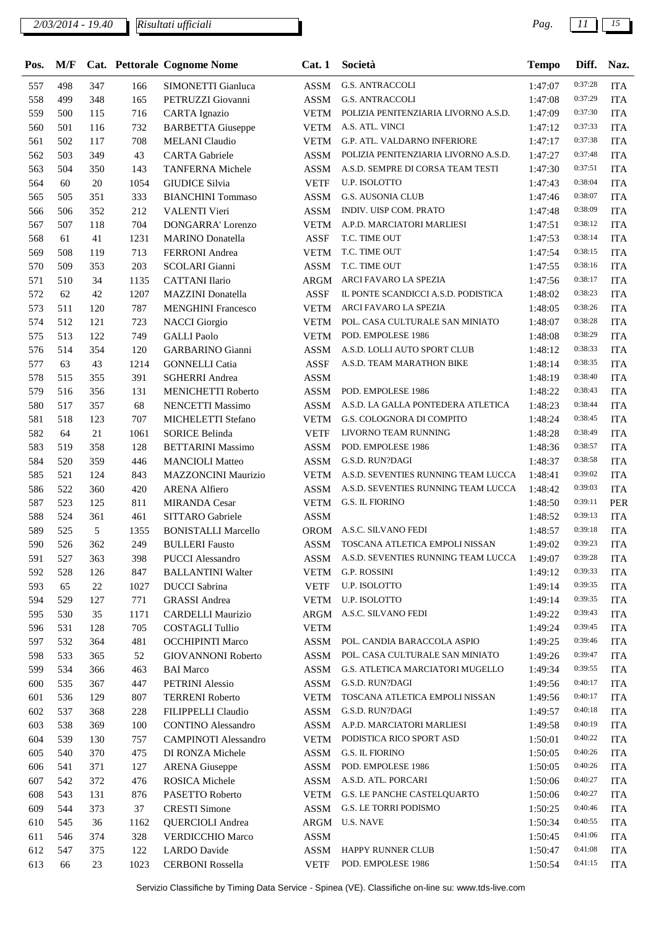| Pos. | M/F |        |      | Cat. Pettorale Cognome Nome | Cat.1       | Società                              | <b>Tempo</b> | Diff.   | Naz.       |
|------|-----|--------|------|-----------------------------|-------------|--------------------------------------|--------------|---------|------------|
| 557  | 498 | 347    | 166  | SIMONETTI Gianluca          | <b>ASSM</b> | <b>G.S. ANTRACCOLI</b>               | 1:47:07      | 0:37:28 | <b>ITA</b> |
| 558  | 499 | 348    | 165  | PETRUZZI Giovanni           | <b>ASSM</b> | <b>G.S. ANTRACCOLI</b>               | 1:47:08      | 0:37:29 | <b>ITA</b> |
| 559  | 500 | 115    | 716  | <b>CARTA</b> Ignazio        | <b>VETM</b> | POLIZIA PENITENZIARIA LIVORNO A.S.D. | 1:47:09      | 0:37:30 | <b>ITA</b> |
| 560  | 501 | 116    | 732  | <b>BARBETTA Giuseppe</b>    | <b>VETM</b> | A.S. ATL. VINCI                      | 1:47:12      | 0:37:33 | <b>ITA</b> |
| 561  | 502 | 117    | 708  | <b>MELANI</b> Claudio       | <b>VETM</b> | G.P. ATL. VALDARNO INFERIORE         | 1:47:17      | 0:37:38 | <b>ITA</b> |
| 562  | 503 | 349    | 43   | <b>CARTA</b> Gabriele       | <b>ASSM</b> | POLIZIA PENITENZIARIA LIVORNO A.S.D. | 1:47:27      | 0:37:48 | <b>ITA</b> |
| 563  | 504 | 350    | 143  | <b>TANFERNA Michele</b>     | <b>ASSM</b> | A.S.D. SEMPRE DI CORSA TEAM TESTI    | 1:47:30      | 0:37:51 | <b>ITA</b> |
| 564  | 60  | $20\,$ | 1054 | <b>GIUDICE Silvia</b>       | <b>VETF</b> | <b>U.P. ISOLOTTO</b>                 | 1:47:43      | 0:38:04 | <b>ITA</b> |
| 565  | 505 | 351    | 333  | <b>BIANCHINI</b> Tommaso    | <b>ASSM</b> | <b>G.S. AUSONIA CLUB</b>             | 1:47:46      | 0:38:07 | <b>ITA</b> |
| 566  | 506 | 352    | 212  | <b>VALENTI Vieri</b>        | <b>ASSM</b> | INDIV. UISP COM. PRATO               | 1:47:48      | 0:38:09 | <b>ITA</b> |
| 567  | 507 | 118    | 704  | <b>DONGARRA' Lorenzo</b>    | <b>VETM</b> | A.P.D. MARCIATORI MARLIESI           | 1:47:51      | 0:38:12 | <b>ITA</b> |
| 568  | 61  | 41     | 1231 | <b>MARINO</b> Donatella     | <b>ASSF</b> | T.C. TIME OUT                        | 1:47:53      | 0:38:14 | <b>ITA</b> |
| 569  | 508 | 119    | 713  | <b>FERRONI</b> Andrea       | <b>VETM</b> | T.C. TIME OUT                        | 1:47:54      | 0:38:15 | <b>ITA</b> |
| 570  | 509 | 353    | 203  | <b>SCOLARI</b> Gianni       | <b>ASSM</b> | T.C. TIME OUT                        | 1:47:55      | 0:38:16 | <b>ITA</b> |
| 571  | 510 | 34     | 1135 | <b>CATTANI</b> Ilario       | ARGM        | ARCI FAVARO LA SPEZIA                | 1:47:56      | 0:38:17 | <b>ITA</b> |
| 572  | 62  | 42     | 1207 | MAZZINI Donatella           | <b>ASSF</b> | IL PONTE SCANDICCI A.S.D. PODISTICA  | 1:48:02      | 0:38:23 | <b>ITA</b> |
| 573  | 511 | 120    | 787  | <b>MENGHINI Francesco</b>   | <b>VETM</b> | ARCI FAVARO LA SPEZIA                | 1:48:05      | 0:38:26 | <b>ITA</b> |
| 574  | 512 | 121    | 723  | <b>NACCI</b> Giorgio        | <b>VETM</b> | POL. CASA CULTURALE SAN MINIATO      | 1:48:07      | 0:38:28 | <b>ITA</b> |
| 575  | 513 | 122    | 749  | <b>GALLI</b> Paolo          | <b>VETM</b> | POD. EMPOLESE 1986                   | 1:48:08      | 0:38:29 | <b>ITA</b> |
| 576  | 514 | 354    | 120  | <b>GARBARINO Gianni</b>     | <b>ASSM</b> | A.S.D. LOLLI AUTO SPORT CLUB         | 1:48:12      | 0:38:33 | <b>ITA</b> |
| 577  | 63  | 43     | 1214 | <b>GONNELLI</b> Catia       | <b>ASSF</b> | A.S.D. TEAM MARATHON BIKE            | 1:48:14      | 0:38:35 | <b>ITA</b> |
| 578  | 515 | 355    | 391  | <b>SGHERRI</b> Andrea       | <b>ASSM</b> |                                      | 1:48:19      | 0:38:40 | <b>ITA</b> |
| 579  | 516 | 356    | 131  | MENICHETTI Roberto          | <b>ASSM</b> | POD. EMPOLESE 1986                   | 1:48:22      | 0:38:43 | <b>ITA</b> |
| 580  | 517 | 357    | 68   | <b>NENCETTI Massimo</b>     | <b>ASSM</b> | A.S.D. LA GALLA PONTEDERA ATLETICA   | 1:48:23      | 0:38:44 | <b>ITA</b> |
| 581  | 518 | 123    | 707  | MICHELETTI Stefano          | <b>VETM</b> | G.S. COLOGNORA DI COMPITO            | 1:48:24      | 0:38:45 | <b>ITA</b> |
| 582  | 64  | 21     | 1061 | <b>SORICE Belinda</b>       | <b>VETF</b> | LIVORNO TEAM RUNNING                 | 1:48:28      | 0:38:49 | <b>ITA</b> |
| 583  | 519 | 358    | 128  | <b>BETTARINI Massimo</b>    | <b>ASSM</b> | POD. EMPOLESE 1986                   | 1:48:36      | 0:38:57 | <b>ITA</b> |
| 584  | 520 | 359    | 446  | <b>MANCIOLI</b> Matteo      | <b>ASSM</b> | G.S.D. RUN?DAGI                      | 1:48:37      | 0:38:58 | <b>ITA</b> |
| 585  | 521 | 124    | 843  | <b>MAZZONCINI Maurizio</b>  | <b>VETM</b> | A.S.D. SEVENTIES RUNNING TEAM LUCCA  | 1:48:41      | 0:39:02 | <b>ITA</b> |
| 586  | 522 | 360    | 420  | <b>ARENA Alfiero</b>        | <b>ASSM</b> | A.S.D. SEVENTIES RUNNING TEAM LUCCA  | 1:48:42      | 0:39:03 | <b>ITA</b> |
| 587  | 523 | 125    | 811  | <b>MIRANDA Cesar</b>        | <b>VETM</b> | <b>G.S. IL FIORINO</b>               | 1:48:50      | 0:39:11 | PER        |
| 588  | 524 | 361    | 461  | SITTARO Gabriele            | <b>ASSM</b> |                                      | 1:48:52      | 0:39:13 | <b>ITA</b> |
| 589  | 525 | 5      | 1355 | <b>BONISTALLI Marcello</b>  | <b>OROM</b> | A.S.C. SILVANO FEDI                  | 1:48:57      | 0:39:18 | <b>ITA</b> |
| 590  | 526 | 362    | 249  | <b>BULLERI</b> Fausto       | ASSM        | TOSCANA ATLETICA EMPOLI NISSAN       | 1:49:02      | 0:39:23 | <b>ITA</b> |
| 591  | 527 | 363    | 398  | <b>PUCCI</b> Alessandro     | ASSM        | A.S.D. SEVENTIES RUNNING TEAM LUCCA  | 1:49:07      | 0:39:28 | <b>ITA</b> |
| 592  | 528 | 126    | 847  | <b>BALLANTINI Walter</b>    | <b>VETM</b> | G.P. ROSSINI                         | 1:49:12      | 0:39:33 | <b>ITA</b> |
| 593  | 65  | 22     | 1027 | <b>DUCCI</b> Sabrina        | <b>VETF</b> | U.P. ISOLOTTO                        | 1:49:14      | 0:39:35 | <b>ITA</b> |
| 594  | 529 | 127    | 771  | <b>GRASSI</b> Andrea        | <b>VETM</b> | U.P. ISOLOTTO                        | 1:49:14      | 0:39:35 | <b>ITA</b> |
| 595  | 530 | 35     | 1171 | <b>CARDELLI Maurizio</b>    | ARGM        | A.S.C. SILVANO FEDI                  | 1:49:22      | 0:39:43 | <b>ITA</b> |
| 596  | 531 | 128    | 705  | <b>COSTAGLI Tullio</b>      | <b>VETM</b> |                                      | 1:49:24      | 0:39:45 | <b>ITA</b> |
| 597  | 532 | 364    | 481  | <b>OCCHIPINTI Marco</b>     | ASSM        | POL. CANDIA BARACCOLA ASPIO          | 1:49:25      | 0:39:46 | <b>ITA</b> |
| 598  | 533 | 365    | 52   | <b>GIOVANNONI Roberto</b>   | <b>ASSM</b> | POL. CASA CULTURALE SAN MINIATO      | 1:49:26      | 0:39:47 | <b>ITA</b> |
| 599  | 534 | 366    | 463  | <b>BAI</b> Marco            | ASSM        | G.S. ATLETICA MARCIATORI MUGELLO     | 1:49:34      | 0:39:55 | <b>ITA</b> |
| 600  | 535 | 367    | 447  | PETRINI Alessio             | ASSM        | G.S.D. RUN?DAGI                      | 1:49:56      | 0:40:17 | <b>ITA</b> |
| 601  | 536 | 129    | 807  | <b>TERRENI Roberto</b>      | <b>VETM</b> | TOSCANA ATLETICA EMPOLI NISSAN       | 1:49:56      | 0:40:17 | <b>ITA</b> |
| 602  | 537 | 368    | 228  | FILIPPELLI Claudio          | ASSM        | G.S.D. RUN?DAGI                      | 1:49:57      | 0:40:18 | <b>ITA</b> |
| 603  | 538 | 369    | 100  | <b>CONTINO Alessandro</b>   | ASSM        | A.P.D. MARCIATORI MARLIESI           | 1:49:58      | 0:40:19 | <b>ITA</b> |
| 604  | 539 | 130    | 757  | <b>CAMPINOTI Alessandro</b> | <b>VETM</b> | PODISTICA RICO SPORT ASD             | 1:50:01      | 0:40:22 | <b>ITA</b> |
| 605  | 540 | 370    | 475  | DI RONZA Michele            | ASSM        | G.S. IL FIORINO                      | 1:50:05      | 0:40:26 | <b>ITA</b> |
| 606  | 541 | 371    | 127  | <b>ARENA</b> Giuseppe       | <b>ASSM</b> | POD. EMPOLESE 1986                   | 1:50:05      | 0:40:26 | <b>ITA</b> |
| 607  | 542 | 372    | 476  | ROSICA Michele              | ASSM        | A.S.D. ATL. PORCARI                  | 1:50:06      | 0:40:27 | <b>ITA</b> |
| 608  | 543 | 131    | 876  | PASETTO Roberto             | <b>VETM</b> | G.S. LE PANCHE CASTELQUARTO          | 1:50:06      | 0:40:27 | <b>ITA</b> |
| 609  | 544 | 373    | 37   | <b>CRESTI Simone</b>        | ASSM        | G.S. LE TORRI PODISMO                | 1:50:25      | 0:40:46 | <b>ITA</b> |
| 610  | 545 | 36     | 1162 | <b>QUERCIOLI</b> Andrea     | ARGM        | <b>U.S. NAVE</b>                     | 1:50:34      | 0:40:55 | <b>ITA</b> |
| 611  | 546 | 374    | 328  | <b>VERDICCHIO Marco</b>     | ASSM        |                                      | 1:50:45      | 0:41:06 | <b>ITA</b> |
| 612  | 547 | 375    | 122  | <b>LARDO</b> Davide         | ASSM        | HAPPY RUNNER CLUB                    | 1:50:47      | 0:41:08 | <b>ITA</b> |
| 613  | 66  | 23     | 1023 | <b>CERBONI Rossella</b>     | <b>VETF</b> | POD. EMPOLESE 1986                   | 1:50:54      | 0:41:15 | <b>ITA</b> |
|      |     |        |      |                             |             |                                      |              |         |            |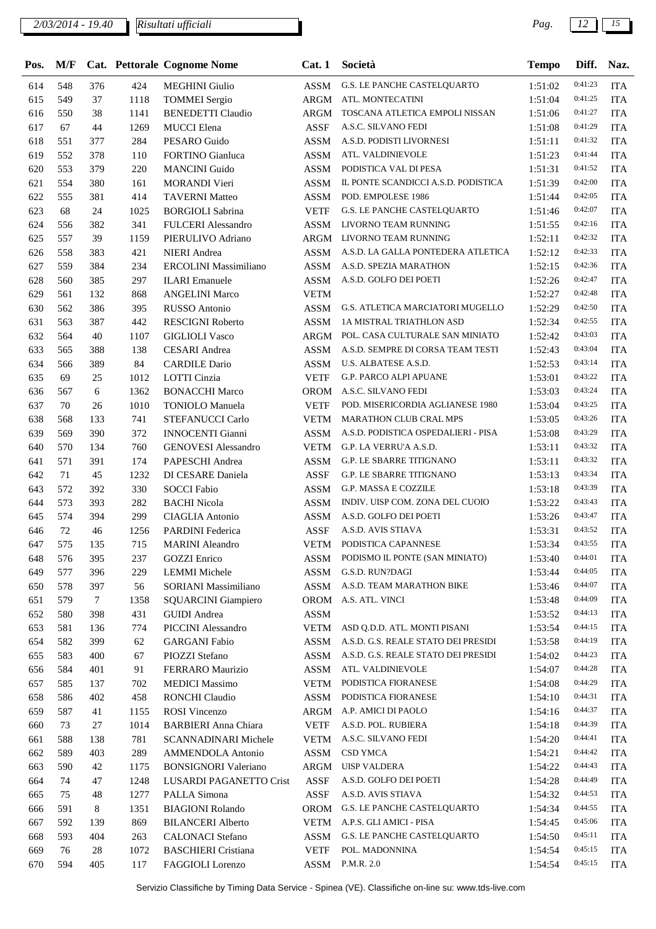| Pos. | M/F |        |      | Cat. Pettorale Cognome Nome | Cat.1           | Società                             | <b>Tempo</b> | Diff.   | Naz.       |
|------|-----|--------|------|-----------------------------|-----------------|-------------------------------------|--------------|---------|------------|
| 614  | 548 | 376    | 424  | <b>MEGHINI</b> Giulio       | <b>ASSM</b>     | <b>G.S. LE PANCHE CASTELQUARTO</b>  | 1:51:02      | 0:41:23 | <b>ITA</b> |
| 615  | 549 | 37     | 1118 | <b>TOMMEI</b> Sergio        | ARGM            | ATL. MONTECATINI                    | 1:51:04      | 0:41:25 | <b>ITA</b> |
| 616  | 550 | 38     | 1141 | <b>BENEDETTI Claudio</b>    | <b>ARGM</b>     | TOSCANA ATLETICA EMPOLI NISSAN      | 1:51:06      | 0:41:27 | <b>ITA</b> |
| 617  | 67  | 44     | 1269 | <b>MUCCI</b> Elena          | <b>ASSF</b>     | A.S.C. SILVANO FEDI                 | 1:51:08      | 0:41:29 | <b>ITA</b> |
| 618  | 551 | 377    | 284  | PESARO Guido                | <b>ASSM</b>     | A.S.D. PODISTI LIVORNESI            | 1:51:11      | 0:41:32 | <b>ITA</b> |
| 619  | 552 | 378    | 110  | <b>FORTINO</b> Gianluca     | <b>ASSM</b>     | ATL. VALDINIEVOLE                   | 1:51:23      | 0:41:44 | <b>ITA</b> |
| 620  | 553 | 379    | 220  | <b>MANCINI</b> Guido        | <b>ASSM</b>     | PODISTICA VAL DI PESA               | 1:51:31      | 0:41:52 | <b>ITA</b> |
| 621  | 554 | 380    | 161  | <b>MORANDI</b> Vieri        | <b>ASSM</b>     | IL PONTE SCANDICCI A.S.D. PODISTICA | 1:51:39      | 0:42:00 | <b>ITA</b> |
| 622  | 555 | 381    | 414  | <b>TAVERNI Matteo</b>       | <b>ASSM</b>     | POD. EMPOLESE 1986                  | 1:51:44      | 0:42:05 | <b>ITA</b> |
| 623  | 68  | 24     | 1025 | <b>BORGIOLI Sabrina</b>     | <b>VETF</b>     | G.S. LE PANCHE CASTELQUARTO         | 1:51:46      | 0:42:07 | <b>ITA</b> |
| 624  | 556 | 382    | 341  | <b>FULCERI</b> Alessandro   | <b>ASSM</b>     | LIVORNO TEAM RUNNING                | 1:51:55      | 0:42:16 | <b>ITA</b> |
| 625  | 557 | 39     | 1159 | PIERULIVO Adriano           | ARGM            | LIVORNO TEAM RUNNING                | 1:52:11      | 0:42:32 | <b>ITA</b> |
| 626  | 558 | 383    | 421  | <b>NIERI</b> Andrea         | <b>ASSM</b>     | A.S.D. LA GALLA PONTEDERA ATLETICA  | 1:52:12      | 0:42:33 | <b>ITA</b> |
| 627  | 559 | 384    | 234  | ERCOLINI Massimiliano       | <b>ASSM</b>     | A.S.D. SPEZIA MARATHON              | 1:52:15      | 0:42:36 | <b>ITA</b> |
| 628  | 560 | 385    | 297  | <b>ILARI</b> Emanuele       | <b>ASSM</b>     | A.S.D. GOLFO DEI POETI              | 1:52:26      | 0:42:47 | <b>ITA</b> |
| 629  | 561 | 132    | 868  | <b>ANGELINI Marco</b>       | <b>VETM</b>     |                                     | 1:52:27      | 0:42:48 | <b>ITA</b> |
| 630  | 562 | 386    | 395  | <b>RUSSO</b> Antonio        | <b>ASSM</b>     | G.S. ATLETICA MARCIATORI MUGELLO    | 1:52:29      | 0:42:50 | <b>ITA</b> |
| 631  | 563 | 387    | 442  | <b>RESCIGNI Roberto</b>     | <b>ASSM</b>     | 1A MISTRAL TRIATHLON ASD            | 1:52:34      | 0:42:55 | <b>ITA</b> |
| 632  | 564 | 40     | 1107 | <b>GIGLIOLI Vasco</b>       | <b>ARGM</b>     | POL. CASA CULTURALE SAN MINIATO     | 1:52:42      | 0:43:03 | <b>ITA</b> |
| 633  | 565 | 388    | 138  | <b>CESARI</b> Andrea        | <b>ASSM</b>     | A.S.D. SEMPRE DI CORSA TEAM TESTI   | 1:52:43      | 0:43:04 | <b>ITA</b> |
| 634  | 566 | 389    | 84   | <b>CARDILE Dario</b>        | <b>ASSM</b>     | U.S. ALBATESE A.S.D.                | 1:52:53      | 0:43:14 | <b>ITA</b> |
| 635  | 69  | 25     | 1012 | LOTTI Cinzia                | <b>VETF</b>     | <b>G.P. PARCO ALPI APUANE</b>       | 1:53:01      | 0:43:22 | <b>ITA</b> |
| 636  | 567 | 6      | 1362 | <b>BONACCHI Marco</b>       | <b>OROM</b>     | A.S.C. SILVANO FEDI                 | 1:53:03      | 0:43:24 | <b>ITA</b> |
| 637  | 70  | 26     | 1010 | <b>TONIOLO</b> Manuela      | <b>VETF</b>     | POD. MISERICORDIA AGLIANESE 1980    | 1:53:04      | 0:43:25 | <b>ITA</b> |
| 638  | 568 | 133    | 741  | STEFANUCCI Carlo            | <b>VETM</b>     | <b>MARATHON CLUB CRAL MPS</b>       | 1:53:05      | 0:43:26 | <b>ITA</b> |
| 639  | 569 | 390    | 372  | <b>INNOCENTI Gianni</b>     | <b>ASSM</b>     | A.S.D. PODISTICA OSPEDALIERI - PISA | 1:53:08      | 0:43:29 | <b>ITA</b> |
| 640  | 570 | 134    | 760  | <b>GENOVESI Alessandro</b>  | <b>VETM</b>     | G.P. LA VERRU'A A.S.D.              | 1:53:11      | 0:43:32 | <b>ITA</b> |
| 641  | 571 | 391    | 174  | PAPESCHI Andrea             | <b>ASSM</b>     | G.P. LE SBARRE TITIGNANO            | 1:53:11      | 0:43:32 | <b>ITA</b> |
| 642  | 71  | 45     | 1232 | DI CESARE Daniela           | <b>ASSF</b>     | <b>G.P. LE SBARRE TITIGNANO</b>     | 1:53:13      | 0:43:34 | <b>ITA</b> |
| 643  | 572 | 392    | 330  | <b>SOCCI Fabio</b>          | <b>ASSM</b>     | G.P. MASSA E COZZILE                | 1:53:18      | 0:43:39 | <b>ITA</b> |
| 644  | 573 | 393    | 282  | <b>BACHI</b> Nicola         | <b>ASSM</b>     | INDIV. UISP COM. ZONA DEL CUOIO     | 1:53:22      | 0:43:43 | <b>ITA</b> |
| 645  | 574 | 394    | 299  | <b>CIAGLIA</b> Antonio      | <b>ASSM</b>     | A.S.D. GOLFO DEI POETI              | 1:53:26      | 0:43:47 | <b>ITA</b> |
| 646  | 72  | 46     | 1256 | <b>PARDINI</b> Federica     | <b>ASSF</b>     | A.S.D. AVIS STIAVA                  | 1:53:31      | 0:43:52 | <b>ITA</b> |
| 647  | 575 | 135    | 715  | <b>MARINI</b> Aleandro      | VETM            | PODISTICA CAPANNESE                 | 1:53:34      | 0:43:55 | <b>ITA</b> |
| 648  | 576 | 395    | 237  | <b>GOZZI</b> Enrico         | $\mathbf{ASSM}$ | PODISMO IL PONTE (SAN MINIATO)      | 1:53:40      | 0:44:01 | <b>ITA</b> |
| 649  | 577 | 396    | 229  | <b>LEMMI</b> Michele        | ASSM            | G.S.D. RUN?DAGI                     | 1:53:44      | 0:44:05 | <b>ITA</b> |
| 650  | 578 | 397    | 56   | SORIANI Massimiliano        | <b>ASSM</b>     | A.S.D. TEAM MARATHON BIKE           | 1:53:46      | 0:44:07 | <b>ITA</b> |
| 651  | 579 | $\tau$ | 1358 | <b>SQUARCINI Giampiero</b>  | OROM            | A.S. ATL. VINCI                     | 1:53:48      | 0:44:09 | <b>ITA</b> |
| 652  | 580 | 398    | 431  | <b>GUIDI</b> Andrea         | ASSM            |                                     | 1:53:52      | 0:44:13 | <b>ITA</b> |
| 653  | 581 | 136    | 774  | <b>PICCINI</b> Alessandro   | <b>VETM</b>     | ASD Q.D.D. ATL. MONTI PISANI        | 1:53:54      | 0:44:15 | <b>ITA</b> |
| 654  | 582 | 399    | 62   | <b>GARGANI</b> Fabio        | ASSM            | A.S.D. G.S. REALE STATO DEI PRESIDI | 1:53:58      | 0:44:19 | <b>ITA</b> |
| 655  | 583 | 400    | 67   | PIOZZI Stefano              | <b>ASSM</b>     | A.S.D. G.S. REALE STATO DEI PRESIDI | 1:54:02      | 0:44:23 | <b>ITA</b> |
| 656  | 584 | 401    | 91   | FERRARO Maurizio            | ASSM            | ATL. VALDINIEVOLE                   | 1:54:07      | 0:44:28 | <b>ITA</b> |
| 657  | 585 | 137    | 702  | <b>MEDICI</b> Massimo       | <b>VETM</b>     | PODISTICA FIORANESE                 | 1:54:08      | 0:44:29 | <b>ITA</b> |
| 658  | 586 | 402    | 458  | RONCHI Claudio              | ASSM            | PODISTICA FIORANESE                 | 1:54:10      | 0:44:31 | <b>ITA</b> |
| 659  | 587 | 41     | 1155 | <b>ROSI</b> Vincenzo        | ARGM            | A.P. AMICI DI PAOLO                 | 1:54:16      | 0:44:37 | <b>ITA</b> |
| 660  | 73  | 27     | 1014 | <b>BARBIERI</b> Anna Chiara | <b>VETF</b>     | A.S.D. POL. RUBIERA                 | 1:54:18      | 0:44:39 | <b>ITA</b> |
| 661  | 588 | 138    | 781  | SCANNADINARI Michele        | <b>VETM</b>     | A.S.C. SILVANO FEDI                 | 1:54:20      | 0:44:41 | <b>ITA</b> |
| 662  | 589 | 403    | 289  | <b>AMMENDOLA Antonio</b>    | ASSM            | CSD YMCA                            | 1:54:21      | 0:44:42 | <b>ITA</b> |
| 663  | 590 | 42     | 1175 | <b>BONSIGNORI Valeriano</b> | ARGM            | <b>UISP VALDERA</b>                 | 1:54:22      | 0:44:43 | <b>ITA</b> |
| 664  | 74  | 47     | 1248 | LUSARDI PAGANETTO Crist     | ASSF            | A.S.D. GOLFO DEI POETI              | 1:54:28      | 0:44:49 | <b>ITA</b> |
| 665  | 75  | 48     | 1277 | PALLA Simona                | ASSF            | A.S.D. AVIS STIAVA                  | 1:54:32      | 0:44:53 | <b>ITA</b> |
| 666  | 591 | 8      | 1351 | <b>BIAGIONI Rolando</b>     | <b>OROM</b>     | G.S. LE PANCHE CASTELQUARTO         | 1:54:34      | 0:44:55 | <b>ITA</b> |
| 667  | 592 | 139    | 869  | <b>BILANCERI Alberto</b>    | <b>VETM</b>     | A.P.S. GLI AMICI - PISA             | 1:54:45      | 0:45:06 | <b>ITA</b> |
| 668  | 593 | 404    | 263  | <b>CALONACI</b> Stefano     | ASSM            | G.S. LE PANCHE CASTELQUARTO         | 1:54:50      | 0:45:11 | <b>ITA</b> |
| 669  | 76  | 28     | 1072 | <b>BASCHIERI</b> Cristiana  | <b>VETF</b>     | POL. MADONNINA                      | 1:54:54      | 0:45:15 | <b>ITA</b> |
| 670  | 594 | 405    | 117  | FAGGIOLI Lorenzo            | <b>ASSM</b>     | P.M.R. 2.0                          | 1:54:54      | 0:45:15 | <b>ITA</b> |
|      |     |        |      |                             |                 |                                     |              |         |            |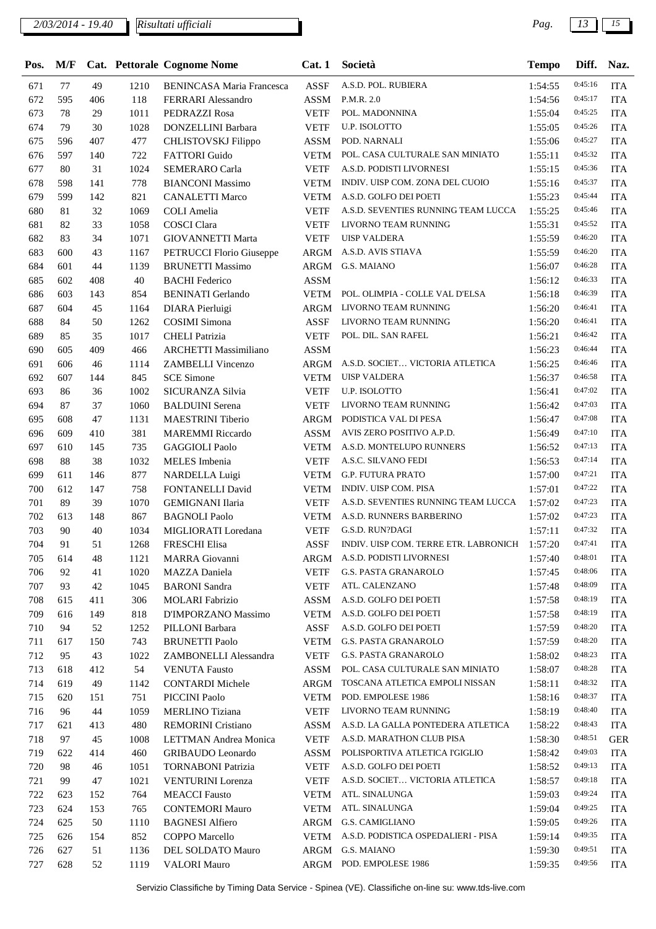| Pos. | M/F |     |      | Cat. Pettorale Cognome Nome      | Cat.1       | Società                                       | <b>Tempo</b> | Diff.   | Naz.       |
|------|-----|-----|------|----------------------------------|-------------|-----------------------------------------------|--------------|---------|------------|
| 671  | 77  | 49  | 1210 | <b>BENINCASA Maria Francesca</b> | <b>ASSF</b> | A.S.D. POL. RUBIERA                           | 1:54:55      | 0:45:16 | <b>ITA</b> |
| 672  | 595 | 406 | 118  | FERRARI Alessandro               | ASSM        | P.M.R. 2.0                                    | 1:54:56      | 0:45:17 | <b>ITA</b> |
| 673  | 78  | 29  | 1011 | PEDRAZZI Rosa                    | <b>VETF</b> | POL. MADONNINA                                | 1:55:04      | 0:45:25 | <b>ITA</b> |
| 674  | 79  | 30  | 1028 | DONZELLINI Barbara               | <b>VETF</b> | U.P. ISOLOTTO                                 | 1:55:05      | 0:45:26 | <b>ITA</b> |
| 675  | 596 | 407 | 477  | CHLISTOVSKJ Filippo              | <b>ASSM</b> | POD. NARNALI                                  | 1:55:06      | 0:45:27 | <b>ITA</b> |
| 676  | 597 | 140 | 722  | <b>FATTORI</b> Guido             | <b>VETM</b> | POL. CASA CULTURALE SAN MINIATO               | 1:55:11      | 0:45:32 | <b>ITA</b> |
| 677  | 80  | 31  | 1024 | <b>SEMERARO Carla</b>            | <b>VETF</b> | A.S.D. PODISTI LIVORNESI                      | 1:55:15      | 0:45:36 | <b>ITA</b> |
| 678  | 598 | 141 | 778  | <b>BIANCONI Massimo</b>          | <b>VETM</b> | INDIV. UISP COM. ZONA DEL CUOIO               | 1:55:16      | 0:45:37 | <b>ITA</b> |
| 679  | 599 | 142 | 821  | <b>CANALETTI Marco</b>           | <b>VETM</b> | A.S.D. GOLFO DEI POETI                        | 1:55:23      | 0:45:44 | <b>ITA</b> |
| 680  | 81  | 32  | 1069 | COLI Amelia                      | <b>VETF</b> | A.S.D. SEVENTIES RUNNING TEAM LUCCA           | 1:55:25      | 0:45:46 | <b>ITA</b> |
| 681  | 82  | 33  | 1058 | <b>COSCI</b> Clara               | <b>VETF</b> | LIVORNO TEAM RUNNING                          | 1:55:31      | 0:45:52 | <b>ITA</b> |
| 682  | 83  | 34  | 1071 | <b>GIOVANNETTI Marta</b>         | <b>VETF</b> | <b>UISP VALDERA</b>                           | 1:55:59      | 0:46:20 | <b>ITA</b> |
| 683  | 600 | 43  | 1167 | PETRUCCI Florio Giuseppe         | ARGM        | A.S.D. AVIS STIAVA                            | 1:55:59      | 0:46:20 | <b>ITA</b> |
| 684  | 601 | 44  | 1139 | <b>BRUNETTI Massimo</b>          | ARGM        | G.S. MAIANO                                   | 1:56:07      | 0:46:28 | <b>ITA</b> |
| 685  | 602 | 408 | 40   | <b>BACHI</b> Federico            | <b>ASSM</b> |                                               | 1:56:12      | 0:46:33 | <b>ITA</b> |
| 686  | 603 | 143 | 854  | <b>BENINATI Gerlando</b>         | <b>VETM</b> | POL. OLIMPIA - COLLE VAL D'ELSA               | 1:56:18      | 0:46:39 | <b>ITA</b> |
| 687  | 604 | 45  | 1164 | DIARA Pierluigi                  | <b>ARGM</b> | LIVORNO TEAM RUNNING                          | 1:56:20      | 0:46:41 | <b>ITA</b> |
| 688  | 84  | 50  | 1262 | <b>COSIMI</b> Simona             | <b>ASSF</b> | LIVORNO TEAM RUNNING                          | 1:56:20      | 0:46:41 | <b>ITA</b> |
| 689  | 85  | 35  | 1017 | <b>CHELI</b> Patrizia            | <b>VETF</b> | POL. DIL. SAN RAFEL                           | 1:56:21      | 0:46:42 | <b>ITA</b> |
| 690  | 605 | 409 | 466  | <b>ARCHETTI Massimiliano</b>     | <b>ASSM</b> |                                               | 1:56:23      | 0:46:44 | <b>ITA</b> |
| 691  | 606 | 46  | 1114 | <b>ZAMBELLI Vincenzo</b>         | ARGM        | A.S.D. SOCIET VICTORIA ATLETICA               | 1:56:25      | 0:46:46 | <b>ITA</b> |
| 692  | 607 | 144 | 845  | <b>SCE Simone</b>                | <b>VETM</b> | <b>UISP VALDERA</b>                           | 1:56:37      | 0:46:58 | <b>ITA</b> |
| 693  | 86  | 36  | 1002 | SICURANZA Silvia                 | <b>VETF</b> | U.P. ISOLOTTO                                 | 1:56:41      | 0:47:02 | <b>ITA</b> |
| 694  | 87  | 37  | 1060 | <b>BALDUINI</b> Serena           | <b>VETF</b> | LIVORNO TEAM RUNNING                          | 1:56:42      | 0:47:03 | <b>ITA</b> |
| 695  | 608 | 47  | 1131 | <b>MAESTRINI</b> Tiberio         | ARGM        | PODISTICA VAL DI PESA                         | 1:56:47      | 0:47:08 | <b>ITA</b> |
| 696  | 609 | 410 | 381  | <b>MAREMMI</b> Riccardo          | <b>ASSM</b> | AVIS ZERO POSITIVO A.P.D.                     | 1:56:49      | 0:47:10 | <b>ITA</b> |
| 697  | 610 | 145 | 735  | <b>GAGGIOLI Paolo</b>            | <b>VETM</b> | A.S.D. MONTELUPO RUNNERS                      | 1:56:52      | 0:47:13 | <b>ITA</b> |
| 698  | 88  | 38  | 1032 | MELES Imbenia                    | <b>VETF</b> | A.S.C. SILVANO FEDI                           | 1:56:53      | 0:47:14 | <b>ITA</b> |
| 699  | 611 | 146 | 877  | NARDELLA Luigi                   | <b>VETM</b> | <b>G.P. FUTURA PRATO</b>                      | 1:57:00      | 0:47:21 | <b>ITA</b> |
| 700  | 612 | 147 | 758  | FONTANELLI David                 | VETM        | INDIV. UISP COM. PISA                         | 1:57:01      | 0:47:22 | <b>ITA</b> |
| 701  | 89  | 39  | 1070 | <b>GEMIGNANI Ilaria</b>          | <b>VETF</b> | A.S.D. SEVENTIES RUNNING TEAM LUCCA           | 1:57:02      | 0:47:23 | <b>ITA</b> |
| 702  | 613 | 148 | 867  | <b>BAGNOLI Paolo</b>             | <b>VETM</b> | A.S.D. RUNNERS BARBERINO                      | 1:57:02      | 0:47:23 | <b>ITA</b> |
| 703  | 90  | 40  | 1034 | MIGLIORATI Loredana              | <b>VETF</b> | G.S.D. RUN?DAGI                               | 1:57:11      | 0:47:32 | <b>ITA</b> |
| 704  | 91  | 51  | 1268 | <b>FRESCHI Elisa</b>             | ASSF        | INDIV. UISP COM. TERRE ETR. LABRONICH 1:57:20 |              | 0:47:41 | <b>ITA</b> |
| 705  | 614 | 48  | 1121 | MARRA Giovanni                   |             | ARGM A.S.D. PODISTI LIVORNESI                 | 1:57:40      | 0:48:01 | <b>ITA</b> |
| 706  | 92  | 41  | 1020 | MAZZA Daniela                    | <b>VETF</b> | <b>G.S. PASTA GRANAROLO</b>                   | 1:57:45      | 0:48:06 | <b>ITA</b> |
| 707  | 93  | 42  | 1045 | <b>BARONI</b> Sandra             | <b>VETF</b> | ATL. CALENZANO                                | 1:57:48      | 0:48:09 | <b>ITA</b> |
| 708  | 615 | 411 | 306  | <b>MOLARI</b> Fabrizio           | ASSM        | A.S.D. GOLFO DEI POETI                        | 1:57:58      | 0:48:19 | <b>ITA</b> |
| 709  | 616 | 149 | 818  | D'IMPORZANO Massimo              | <b>VETM</b> | A.S.D. GOLFO DEI POETI                        | 1:57:58      | 0:48:19 | <b>ITA</b> |
| 710  | 94  | 52  | 1252 | PILLONI Barbara                  | ASSF        | A.S.D. GOLFO DEI POETI                        | 1:57:59      | 0:48:20 | <b>ITA</b> |
| 711  | 617 | 150 | 743  | <b>BRUNETTI Paolo</b>            | <b>VETM</b> | G.S. PASTA GRANAROLO                          | 1:57:59      | 0:48:20 | <b>ITA</b> |
| 712  | 95  | 43  | 1022 | ZAMBONELLI Alessandra            | <b>VETF</b> | <b>G.S. PASTA GRANAROLO</b>                   | 1:58:02      | 0:48:23 | <b>ITA</b> |
| 713  | 618 | 412 | 54   | <b>VENUTA Fausto</b>             | ASSM        | POL. CASA CULTURALE SAN MINIATO               | 1:58:07      | 0:48:28 | <b>ITA</b> |
| 714  | 619 | 49  | 1142 | <b>CONTARDI</b> Michele          | ARGM        | TOSCANA ATLETICA EMPOLI NISSAN                | 1:58:11      | 0:48:32 | <b>ITA</b> |
| 715  | 620 | 151 | 751  | PICCINI Paolo                    | <b>VETM</b> | POD. EMPOLESE 1986                            | 1:58:16      | 0:48:37 | <b>ITA</b> |
| 716  | 96  | 44  | 1059 | <b>MERLINO</b> Tiziana           | <b>VETF</b> | LIVORNO TEAM RUNNING                          | 1:58:19      | 0:48:40 | <b>ITA</b> |
| 717  | 621 | 413 | 480  | REMORINI Cristiano               | ASSM        | A.S.D. LA GALLA PONTEDERA ATLETICA            | 1:58:22      | 0:48:43 | <b>ITA</b> |
| 718  | 97  | 45  | 1008 | LETTMAN Andrea Monica            | <b>VETF</b> | A.S.D. MARATHON CLUB PISA                     | 1:58:30      | 0:48:51 | <b>GER</b> |
| 719  | 622 | 414 | 460  | <b>GRIBAUDO</b> Leonardo         | <b>ASSM</b> | POLISPORTIVA ATLETICA I'GIGLIO                | 1:58:42      | 0:49:03 | <b>ITA</b> |
| 720  | 98  | 46  | 1051 | <b>TORNABONI Patrizia</b>        | <b>VETF</b> | A.S.D. GOLFO DEI POETI                        | 1:58:52      | 0:49:13 | <b>ITA</b> |
| 721  | 99  | 47  | 1021 | <b>VENTURINI</b> Lorenza         | <b>VETF</b> | A.S.D. SOCIET VICTORIA ATLETICA               | 1:58:57      | 0:49:18 | <b>ITA</b> |
| 722  | 623 | 152 | 764  | <b>MEACCI</b> Fausto             | <b>VETM</b> | ATL. SINALUNGA                                | 1:59:03      | 0:49:24 | <b>ITA</b> |
| 723  | 624 | 153 | 765  | <b>CONTEMORI Mauro</b>           | <b>VETM</b> | ATL. SINALUNGA                                | 1:59:04      | 0:49:25 | <b>ITA</b> |
| 724  | 625 | 50  | 1110 | <b>BAGNESI Alfiero</b>           | ARGM        | G.S. CAMIGLIANO                               | 1:59:05      | 0:49:26 | <b>ITA</b> |
| 725  | 626 | 154 | 852  | COPPO Marcello                   | <b>VETM</b> | A.S.D. PODISTICA OSPEDALIERI - PISA           | 1:59:14      | 0:49:35 | <b>ITA</b> |
| 726  | 627 | 51  | 1136 | DEL SOLDATO Mauro                | ARGM        | G.S. MAIANO                                   | 1:59:30      | 0:49:51 | <b>ITA</b> |
| 727  | 628 | 52  | 1119 | <b>VALORI Mauro</b>              | ARGM        | POD. EMPOLESE 1986                            | 1:59:35      | 0:49:56 | <b>ITA</b> |
|      |     |     |      |                                  |             |                                               |              |         |            |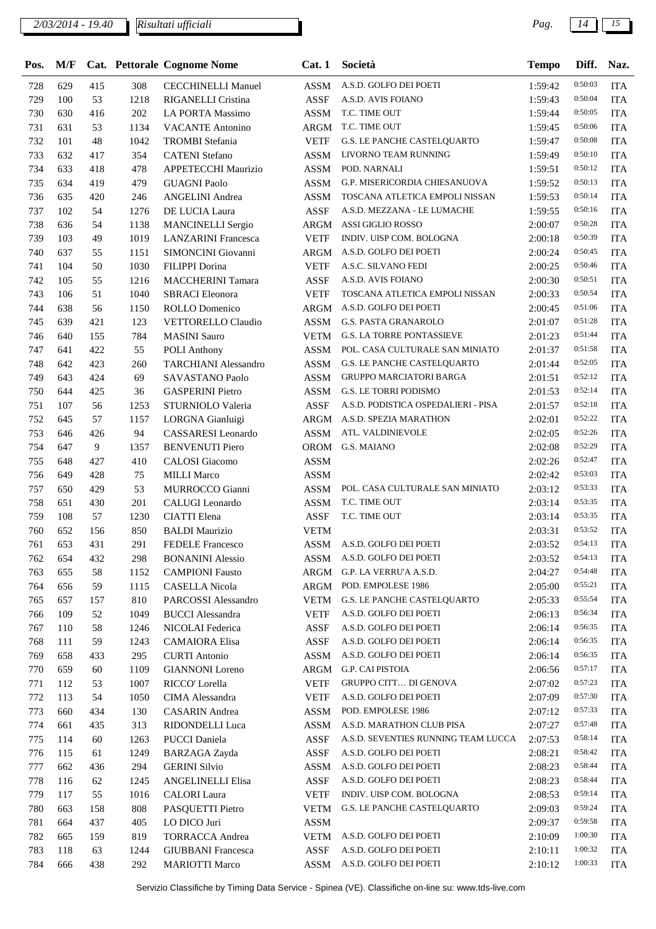| Pos. | M/F |     |      | Cat. Pettorale Cognome Nome | Cat.1       | Società                             | <b>Tempo</b> | Diff.   | Naz.       |
|------|-----|-----|------|-----------------------------|-------------|-------------------------------------|--------------|---------|------------|
| 728  | 629 | 415 | 308  | <b>CECCHINELLI Manuel</b>   | <b>ASSM</b> | A.S.D. GOLFO DEI POETI              | 1:59:42      | 0:50:03 | <b>ITA</b> |
| 729  | 100 | 53  | 1218 | RIGANELLI Cristina          | <b>ASSF</b> | A.S.D. AVIS FOIANO                  | 1:59:43      | 0:50:04 | <b>ITA</b> |
| 730  | 630 | 416 | 202  | <b>LA PORTA Massimo</b>     | <b>ASSM</b> | T.C. TIME OUT                       | 1:59:44      | 0:50:05 | <b>ITA</b> |
| 731  | 631 | 53  | 1134 | <b>VACANTE Antonino</b>     | <b>ARGM</b> | T.C. TIME OUT                       | 1:59:45      | 0:50:06 | <b>ITA</b> |
| 732  | 101 | 48  | 1042 | <b>TROMBI</b> Stefania      | <b>VETF</b> | G.S. LE PANCHE CASTELQUARTO         | 1:59:47      | 0:50:08 | <b>ITA</b> |
| 733  | 632 | 417 | 354  | <b>CATENI</b> Stefano       | <b>ASSM</b> | LIVORNO TEAM RUNNING                | 1:59:49      | 0:50:10 | <b>ITA</b> |
| 734  | 633 | 418 | 478  | APPETECCHI Maurizio         | <b>ASSM</b> | POD. NARNALI                        | 1:59:51      | 0:50:12 | <b>ITA</b> |
| 735  | 634 | 419 | 479  | <b>GUAGNI Paolo</b>         | <b>ASSM</b> | G.P. MISERICORDIA CHIESANUOVA       | 1:59:52      | 0:50:13 | <b>ITA</b> |
| 736  | 635 | 420 | 246  | <b>ANGELINI</b> Andrea      | <b>ASSM</b> | TOSCANA ATLETICA EMPOLI NISSAN      | 1:59:53      | 0:50:14 | <b>ITA</b> |
| 737  | 102 | 54  | 1276 | DE LUCIA Laura              | <b>ASSF</b> | A.S.D. MEZZANA - LE LUMACHE         | 1:59:55      | 0:50:16 | <b>ITA</b> |
| 738  | 636 | 54  | 1138 | <b>MANCINELLI Sergio</b>    | <b>ARGM</b> | ASSI GIGLIO ROSSO                   | 2:00:07      | 0:50:28 | <b>ITA</b> |
| 739  | 103 | 49  | 1019 | <b>LANZARINI</b> Francesca  | <b>VETF</b> | INDIV. UISP COM. BOLOGNA            | 2:00:18      | 0:50:39 | <b>ITA</b> |
| 740  | 637 | 55  | 1151 | SIMONCINI Giovanni          | ARGM        | A.S.D. GOLFO DEI POETI              | 2:00:24      | 0:50:45 | <b>ITA</b> |
| 741  | 104 | 50  | 1030 | FILIPPI Dorina              | <b>VETF</b> | A.S.C. SILVANO FEDI                 | 2:00:25      | 0:50:46 | <b>ITA</b> |
| 742  | 105 | 55  | 1216 | <b>MACCHERINI Tamara</b>    | <b>ASSF</b> | A.S.D. AVIS FOIANO                  | 2:00:30      | 0:50:51 | <b>ITA</b> |
| 743  | 106 | 51  | 1040 | <b>SBRACI</b> Eleonora      | <b>VETF</b> | TOSCANA ATLETICA EMPOLI NISSAN      | 2:00:33      | 0:50:54 | <b>ITA</b> |
| 744  | 638 | 56  | 1150 | ROLLO Domenico              | <b>ARGM</b> | A.S.D. GOLFO DEI POETI              | 2:00:45      | 0:51:06 | <b>ITA</b> |
| 745  | 639 | 421 | 123  | <b>VETTORELLO Claudio</b>   | <b>ASSM</b> | <b>G.S. PASTA GRANAROLO</b>         | 2:01:07      | 0:51:28 | <b>ITA</b> |
| 746  | 640 | 155 | 784  | <b>MASINI</b> Sauro         | <b>VETM</b> | <b>G.S. LA TORRE PONTASSIEVE</b>    | 2:01:23      | 0:51:44 | <b>ITA</b> |
| 747  | 641 | 422 | 55   | <b>POLI</b> Anthony         | <b>ASSM</b> | POL. CASA CULTURALE SAN MINIATO     | 2:01:37      | 0:51:58 | <b>ITA</b> |
| 748  | 642 | 423 | 260  | <b>TARCHIANI</b> Alessandro | <b>ASSM</b> | <b>G.S. LE PANCHE CASTELQUARTO</b>  | 2:01:44      | 0:52:05 | <b>ITA</b> |
| 749  | 643 | 424 | 69   | SAVASTANO Paolo             | <b>ASSM</b> | <b>GRUPPO MARCIATORI BARGA</b>      | 2:01:51      | 0:52:12 | <b>ITA</b> |
| 750  | 644 | 425 | 36   | <b>GASPERINI</b> Pietro     | <b>ASSM</b> | G.S. LE TORRI PODISMO               | 2:01:53      | 0:52:14 | <b>ITA</b> |
| 751  | 107 | 56  | 1253 | STURNIOLO Valeria           | <b>ASSF</b> | A.S.D. PODISTICA OSPEDALIERI - PISA | 2:01:57      | 0:52:18 | <b>ITA</b> |
| 752  | 645 | 57  | 1157 | LORGNA Gianluigi            | <b>ARGM</b> | A.S.D. SPEZIA MARATHON              | 2:02:01      | 0:52:22 | <b>ITA</b> |
| 753  | 646 | 426 | 94   | CASSARESI Leonardo          | <b>ASSM</b> | ATL. VALDINIEVOLE                   | 2:02:05      | 0:52:26 | <b>ITA</b> |
| 754  | 647 | 9   | 1357 | <b>BENVENUTI Piero</b>      | <b>OROM</b> | G.S. MAIANO                         | 2:02:08      | 0:52:29 | <b>ITA</b> |
| 755  | 648 | 427 | 410  | <b>CALOSI</b> Giacomo       | <b>ASSM</b> |                                     | 2:02:26      | 0:52:47 | <b>ITA</b> |
| 756  | 649 | 428 | 75   | <b>MILLI Marco</b>          | <b>ASSM</b> |                                     | 2:02:42      | 0:53:03 | <b>ITA</b> |
| 757  | 650 | 429 | 53   | MURROCCO Gianni             | <b>ASSM</b> | POL. CASA CULTURALE SAN MINIATO     | 2:03:12      | 0:53:33 | <b>ITA</b> |
| 758  | 651 | 430 | 201  | CALUGI Leonardo             | <b>ASSM</b> | T.C. TIME OUT                       | 2:03:14      | 0:53:35 | <b>ITA</b> |
| 759  | 108 | 57  | 1230 | <b>CIATTI</b> Elena         | <b>ASSF</b> | T.C. TIME OUT                       | 2:03:14      | 0:53:35 | <b>ITA</b> |
| 760  | 652 | 156 | 850  | <b>BALDI</b> Maurizio       | <b>VETM</b> |                                     | 2:03:31      | 0:53:52 | <b>ITA</b> |
| 761  | 653 | 431 | 291  | <b>FEDELE Francesco</b>     | ASSM        | A.S.D. GOLFO DEI POETI              | 2:03:52      | 0:54:13 | <b>ITA</b> |
| 762  | 654 | 432 | 298  | <b>BONANINI</b> Alessio     | ASSM        | A.S.D. GOLFO DEI POETI              | 2:03:52      | 0:54:13 | <b>ITA</b> |
| 763  | 655 | 58  | 1152 | <b>CAMPIONI Fausto</b>      | ARGM        | G.P. LA VERRU'A A.S.D.              | 2:04:27      | 0:54:48 | <b>ITA</b> |
| 764  | 656 | 59  | 1115 | <b>CASELLA Nicola</b>       | ARGM        | POD. EMPOLESE 1986                  | 2:05:00      | 0:55:21 | <b>ITA</b> |
| 765  | 657 | 157 | 810  | PARCOSSI Alessandro         | <b>VETM</b> | G.S. LE PANCHE CASTELQUARTO         | 2:05:33      | 0:55:54 | <b>ITA</b> |
| 766  | 109 | 52  | 1049 | <b>BUCCI</b> Alessandra     | <b>VETF</b> | A.S.D. GOLFO DEI POETI              | 2:06:13      | 0:56:34 | <b>ITA</b> |
| 767  | 110 | 58  | 1246 | NICOLAI Federica            | ASSF        | A.S.D. GOLFO DEI POETI              | 2:06:14      | 0:56:35 | <b>ITA</b> |
| 768  | 111 | 59  | 1243 | <b>CAMAIORA</b> Elisa       | ASSF        | A.S.D. GOLFO DEI POETI              | 2:06:14      | 0:56:35 | <b>ITA</b> |
| 769  | 658 | 433 | 295  | <b>CURTI</b> Antonio        | <b>ASSM</b> | A.S.D. GOLFO DEI POETI              | 2:06:14      | 0:56:35 | <b>ITA</b> |
| 770  | 659 | 60  | 1109 | <b>GIANNONI</b> Loreno      | ARGM        | G.P. CAI PISTOIA                    | 2:06:56      | 0:57:17 | <b>ITA</b> |
| 771  | 112 | 53  | 1007 | RICCO' Lorella              | <b>VETF</b> | <b>GRUPPO CITT DI GENOVA</b>        | 2:07:02      | 0:57:23 | <b>ITA</b> |
| 772  | 113 | 54  | 1050 | CIMA Alessandra             | <b>VETF</b> | A.S.D. GOLFO DEI POETI              | 2:07:09      | 0:57:30 | <b>ITA</b> |
| 773  | 660 | 434 | 130  | <b>CASARIN</b> Andrea       | <b>ASSM</b> | POD. EMPOLESE 1986                  | 2:07:12      | 0:57:33 | <b>ITA</b> |
| 774  | 661 | 435 | 313  | RIDONDELLI Luca             | <b>ASSM</b> | A.S.D. MARATHON CLUB PISA           | 2:07:27      | 0:57:48 | <b>ITA</b> |
| 775  | 114 | 60  | 1263 | <b>PUCCI</b> Daniela        | ASSF        | A.S.D. SEVENTIES RUNNING TEAM LUCCA | 2:07:53      | 0:58:14 | <b>ITA</b> |
| 776  | 115 | 61  | 1249 | <b>BARZAGA Zayda</b>        | ASSF        | A.S.D. GOLFO DEI POETI              | 2:08:21      | 0:58:42 | <b>ITA</b> |
| 777  | 662 | 436 | 294  | <b>GERINI Silvio</b>        | <b>ASSM</b> | A.S.D. GOLFO DEI POETI              | 2:08:23      | 0:58:44 | <b>ITA</b> |
| 778  | 116 | 62  | 1245 | <b>ANGELINELLI Elisa</b>    | ASSF        | A.S.D. GOLFO DEI POETI              | 2:08:23      | 0:58:44 | <b>ITA</b> |
| 779  | 117 | 55  | 1016 | <b>CALORI</b> Laura         | <b>VETF</b> | INDIV. UISP COM. BOLOGNA            | 2:08:53      | 0:59:14 | <b>ITA</b> |
| 780  | 663 | 158 | 808  | PASQUETTI Pietro            | <b>VETM</b> | G.S. LE PANCHE CASTELQUARTO         | 2:09:03      | 0:59:24 | <b>ITA</b> |
| 781  | 664 | 437 | 405  | LO DICO Juri                | ASSM        |                                     | 2:09:37      | 0:59:58 | <b>ITA</b> |
| 782  | 665 | 159 | 819  | <b>TORRACCA Andrea</b>      | <b>VETM</b> | A.S.D. GOLFO DEI POETI              | 2:10:09      | 1:00:30 | <b>ITA</b> |
| 783  | 118 | 63  | 1244 | <b>GIUBBANI</b> Francesca   | ASSF        | A.S.D. GOLFO DEI POETI              | 2:10:11      | 1:00:32 | <b>ITA</b> |
| 784  | 666 | 438 | 292  | <b>MARIOTTI Marco</b>       | <b>ASSM</b> | A.S.D. GOLFO DEI POETI              | 2:10:12      | 1:00:33 | <b>ITA</b> |
|      |     |     |      |                             |             |                                     |              |         |            |